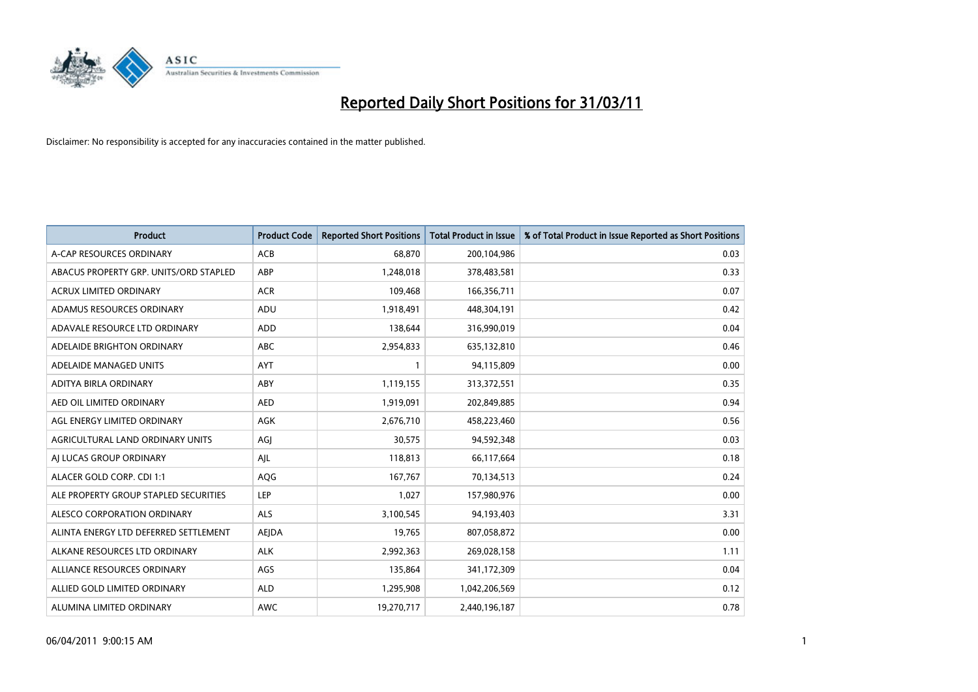

| <b>Product</b>                         | <b>Product Code</b> | <b>Reported Short Positions</b> | <b>Total Product in Issue</b> | % of Total Product in Issue Reported as Short Positions |
|----------------------------------------|---------------------|---------------------------------|-------------------------------|---------------------------------------------------------|
| A-CAP RESOURCES ORDINARY               | ACB                 | 68.870                          | 200,104,986                   | 0.03                                                    |
| ABACUS PROPERTY GRP. UNITS/ORD STAPLED | ABP                 | 1,248,018                       | 378,483,581                   | 0.33                                                    |
| <b>ACRUX LIMITED ORDINARY</b>          | <b>ACR</b>          | 109,468                         | 166,356,711                   | 0.07                                                    |
| ADAMUS RESOURCES ORDINARY              | ADU                 | 1,918,491                       | 448,304,191                   | 0.42                                                    |
| ADAVALE RESOURCE LTD ORDINARY          | <b>ADD</b>          | 138.644                         | 316,990,019                   | 0.04                                                    |
| ADELAIDE BRIGHTON ORDINARY             | <b>ABC</b>          | 2,954,833                       | 635,132,810                   | 0.46                                                    |
| ADELAIDE MANAGED UNITS                 | <b>AYT</b>          |                                 | 94,115,809                    | 0.00                                                    |
| ADITYA BIRLA ORDINARY                  | ABY                 | 1,119,155                       | 313,372,551                   | 0.35                                                    |
| AED OIL LIMITED ORDINARY               | <b>AED</b>          | 1,919,091                       | 202,849,885                   | 0.94                                                    |
| AGL ENERGY LIMITED ORDINARY            | <b>AGK</b>          | 2,676,710                       | 458,223,460                   | 0.56                                                    |
| AGRICULTURAL LAND ORDINARY UNITS       | AGJ                 | 30,575                          | 94,592,348                    | 0.03                                                    |
| AI LUCAS GROUP ORDINARY                | AJL                 | 118,813                         | 66,117,664                    | 0.18                                                    |
| ALACER GOLD CORP. CDI 1:1              | AQG                 | 167,767                         | 70,134,513                    | 0.24                                                    |
| ALE PROPERTY GROUP STAPLED SECURITIES  | LEP                 | 1,027                           | 157,980,976                   | 0.00                                                    |
| ALESCO CORPORATION ORDINARY            | <b>ALS</b>          | 3,100,545                       | 94,193,403                    | 3.31                                                    |
| ALINTA ENERGY LTD DEFERRED SETTLEMENT  | AEJDA               | 19,765                          | 807,058,872                   | 0.00                                                    |
| ALKANE RESOURCES LTD ORDINARY          | <b>ALK</b>          | 2,992,363                       | 269,028,158                   | 1.11                                                    |
| ALLIANCE RESOURCES ORDINARY            | AGS                 | 135,864                         | 341,172,309                   | 0.04                                                    |
| ALLIED GOLD LIMITED ORDINARY           | <b>ALD</b>          | 1,295,908                       | 1,042,206,569                 | 0.12                                                    |
| ALUMINA LIMITED ORDINARY               | <b>AWC</b>          | 19,270,717                      | 2,440,196,187                 | 0.78                                                    |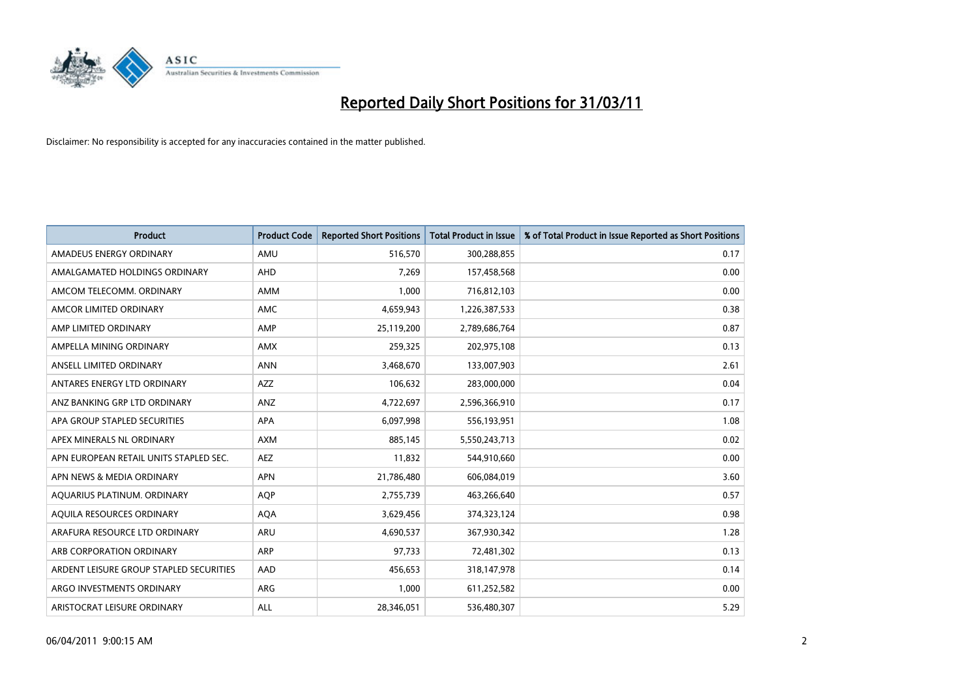

| <b>Product</b>                          | <b>Product Code</b> | <b>Reported Short Positions</b> | Total Product in Issue | % of Total Product in Issue Reported as Short Positions |
|-----------------------------------------|---------------------|---------------------------------|------------------------|---------------------------------------------------------|
| AMADEUS ENERGY ORDINARY                 | AMU                 | 516,570                         | 300,288,855            | 0.17                                                    |
| AMALGAMATED HOLDINGS ORDINARY           | AHD                 | 7,269                           | 157,458,568            | 0.00                                                    |
| AMCOM TELECOMM, ORDINARY                | <b>AMM</b>          | 1,000                           | 716,812,103            | 0.00                                                    |
| AMCOR LIMITED ORDINARY                  | <b>AMC</b>          | 4,659,943                       | 1,226,387,533          | 0.38                                                    |
| AMP LIMITED ORDINARY                    | AMP                 | 25,119,200                      | 2,789,686,764          | 0.87                                                    |
| AMPELLA MINING ORDINARY                 | <b>AMX</b>          | 259,325                         | 202,975,108            | 0.13                                                    |
| ANSELL LIMITED ORDINARY                 | <b>ANN</b>          | 3,468,670                       | 133,007,903            | 2.61                                                    |
| ANTARES ENERGY LTD ORDINARY             | <b>AZZ</b>          | 106,632                         | 283,000,000            | 0.04                                                    |
| ANZ BANKING GRP LTD ORDINARY            | <b>ANZ</b>          | 4,722,697                       | 2,596,366,910          | 0.17                                                    |
| APA GROUP STAPLED SECURITIES            | <b>APA</b>          | 6,097,998                       | 556,193,951            | 1.08                                                    |
| APEX MINERALS NL ORDINARY               | <b>AXM</b>          | 885,145                         | 5,550,243,713          | 0.02                                                    |
| APN EUROPEAN RETAIL UNITS STAPLED SEC.  | <b>AEZ</b>          | 11,832                          | 544,910,660            | 0.00                                                    |
| APN NEWS & MEDIA ORDINARY               | <b>APN</b>          | 21,786,480                      | 606,084,019            | 3.60                                                    |
| AQUARIUS PLATINUM. ORDINARY             | <b>AOP</b>          | 2,755,739                       | 463,266,640            | 0.57                                                    |
| AQUILA RESOURCES ORDINARY               | <b>AQA</b>          | 3,629,456                       | 374,323,124            | 0.98                                                    |
| ARAFURA RESOURCE LTD ORDINARY           | ARU                 | 4,690,537                       | 367,930,342            | 1.28                                                    |
| ARB CORPORATION ORDINARY                | ARP                 | 97,733                          | 72,481,302             | 0.13                                                    |
| ARDENT LEISURE GROUP STAPLED SECURITIES | AAD                 | 456,653                         | 318,147,978            | 0.14                                                    |
| ARGO INVESTMENTS ORDINARY               | <b>ARG</b>          | 1,000                           | 611,252,582            | 0.00                                                    |
| ARISTOCRAT LEISURE ORDINARY             | <b>ALL</b>          | 28,346,051                      | 536,480,307            | 5.29                                                    |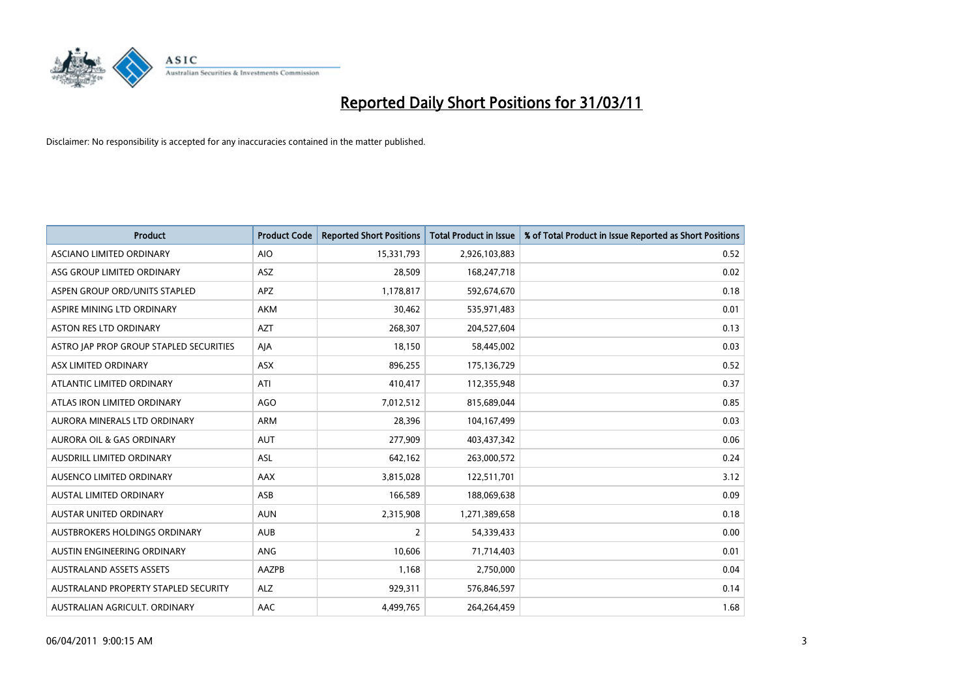

| <b>Product</b>                          | <b>Product Code</b> | <b>Reported Short Positions</b> | <b>Total Product in Issue</b> | % of Total Product in Issue Reported as Short Positions |
|-----------------------------------------|---------------------|---------------------------------|-------------------------------|---------------------------------------------------------|
| <b>ASCIANO LIMITED ORDINARY</b>         | <b>AIO</b>          | 15,331,793                      | 2,926,103,883                 | 0.52                                                    |
| ASG GROUP LIMITED ORDINARY              | ASZ                 | 28,509                          | 168,247,718                   | 0.02                                                    |
| ASPEN GROUP ORD/UNITS STAPLED           | <b>APZ</b>          | 1,178,817                       | 592,674,670                   | 0.18                                                    |
| ASPIRE MINING LTD ORDINARY              | <b>AKM</b>          | 30,462                          | 535,971,483                   | 0.01                                                    |
| <b>ASTON RES LTD ORDINARY</b>           | <b>AZT</b>          | 268,307                         | 204,527,604                   | 0.13                                                    |
| ASTRO JAP PROP GROUP STAPLED SECURITIES | AJA                 | 18,150                          | 58,445,002                    | 0.03                                                    |
| ASX LIMITED ORDINARY                    | <b>ASX</b>          | 896,255                         | 175,136,729                   | 0.52                                                    |
| ATLANTIC LIMITED ORDINARY               | ATI                 | 410,417                         | 112,355,948                   | 0.37                                                    |
| ATLAS IRON LIMITED ORDINARY             | <b>AGO</b>          | 7,012,512                       | 815,689,044                   | 0.85                                                    |
| AURORA MINERALS LTD ORDINARY            | <b>ARM</b>          | 28,396                          | 104,167,499                   | 0.03                                                    |
| <b>AURORA OIL &amp; GAS ORDINARY</b>    | <b>AUT</b>          | 277,909                         | 403,437,342                   | 0.06                                                    |
| AUSDRILL LIMITED ORDINARY               | ASL                 | 642,162                         | 263,000,572                   | 0.24                                                    |
| AUSENCO LIMITED ORDINARY                | AAX                 | 3,815,028                       | 122,511,701                   | 3.12                                                    |
| <b>AUSTAL LIMITED ORDINARY</b>          | ASB                 | 166,589                         | 188,069,638                   | 0.09                                                    |
| <b>AUSTAR UNITED ORDINARY</b>           | <b>AUN</b>          | 2,315,908                       | 1,271,389,658                 | 0.18                                                    |
| AUSTBROKERS HOLDINGS ORDINARY           | <b>AUB</b>          | 2                               | 54,339,433                    | 0.00                                                    |
| AUSTIN ENGINEERING ORDINARY             | <b>ANG</b>          | 10,606                          | 71,714,403                    | 0.01                                                    |
| <b>AUSTRALAND ASSETS ASSETS</b>         | AAZPB               | 1,168                           | 2,750,000                     | 0.04                                                    |
| AUSTRALAND PROPERTY STAPLED SECURITY    | <b>ALZ</b>          | 929,311                         | 576,846,597                   | 0.14                                                    |
| AUSTRALIAN AGRICULT. ORDINARY           | AAC                 | 4,499,765                       | 264,264,459                   | 1.68                                                    |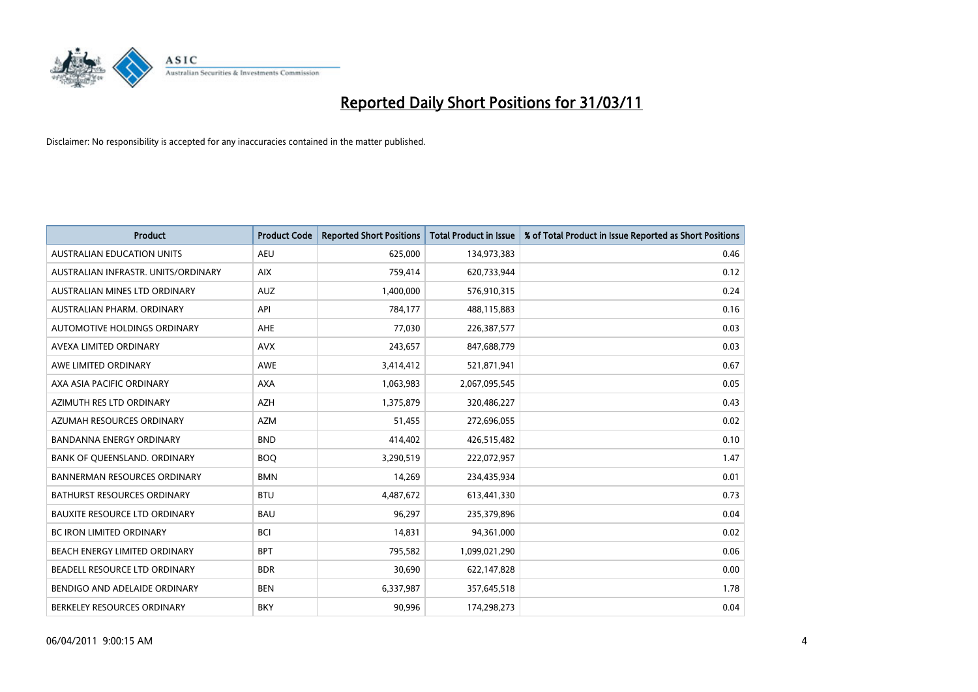

| <b>Product</b>                       | <b>Product Code</b> | <b>Reported Short Positions</b> | <b>Total Product in Issue</b> | % of Total Product in Issue Reported as Short Positions |
|--------------------------------------|---------------------|---------------------------------|-------------------------------|---------------------------------------------------------|
| <b>AUSTRALIAN EDUCATION UNITS</b>    | <b>AEU</b>          | 625,000                         | 134,973,383                   | 0.46                                                    |
| AUSTRALIAN INFRASTR, UNITS/ORDINARY  | <b>AIX</b>          | 759,414                         | 620,733,944                   | 0.12                                                    |
| AUSTRALIAN MINES LTD ORDINARY        | <b>AUZ</b>          | 1,400,000                       | 576,910,315                   | 0.24                                                    |
| AUSTRALIAN PHARM. ORDINARY           | API                 | 784,177                         | 488,115,883                   | 0.16                                                    |
| AUTOMOTIVE HOLDINGS ORDINARY         | AHE                 | 77,030                          | 226,387,577                   | 0.03                                                    |
| AVEXA LIMITED ORDINARY               | <b>AVX</b>          | 243,657                         | 847,688,779                   | 0.03                                                    |
| AWE LIMITED ORDINARY                 | <b>AWE</b>          | 3,414,412                       | 521,871,941                   | 0.67                                                    |
| AXA ASIA PACIFIC ORDINARY            | <b>AXA</b>          | 1,063,983                       | 2,067,095,545                 | 0.05                                                    |
| AZIMUTH RES LTD ORDINARY             | <b>AZH</b>          | 1,375,879                       | 320,486,227                   | 0.43                                                    |
| AZUMAH RESOURCES ORDINARY            | <b>AZM</b>          | 51,455                          | 272,696,055                   | 0.02                                                    |
| <b>BANDANNA ENERGY ORDINARY</b>      | <b>BND</b>          | 414,402                         | 426,515,482                   | 0.10                                                    |
| BANK OF QUEENSLAND. ORDINARY         | <b>BOO</b>          | 3,290,519                       | 222,072,957                   | 1.47                                                    |
| <b>BANNERMAN RESOURCES ORDINARY</b>  | <b>BMN</b>          | 14,269                          | 234,435,934                   | 0.01                                                    |
| <b>BATHURST RESOURCES ORDINARY</b>   | <b>BTU</b>          | 4,487,672                       | 613,441,330                   | 0.73                                                    |
| <b>BAUXITE RESOURCE LTD ORDINARY</b> | <b>BAU</b>          | 96,297                          | 235,379,896                   | 0.04                                                    |
| BC IRON LIMITED ORDINARY             | <b>BCI</b>          | 14,831                          | 94,361,000                    | 0.02                                                    |
| BEACH ENERGY LIMITED ORDINARY        | <b>BPT</b>          | 795,582                         | 1,099,021,290                 | 0.06                                                    |
| BEADELL RESOURCE LTD ORDINARY        | <b>BDR</b>          | 30,690                          | 622,147,828                   | 0.00                                                    |
| BENDIGO AND ADELAIDE ORDINARY        | <b>BEN</b>          | 6,337,987                       | 357,645,518                   | 1.78                                                    |
| BERKELEY RESOURCES ORDINARY          | <b>BKY</b>          | 90.996                          | 174,298,273                   | 0.04                                                    |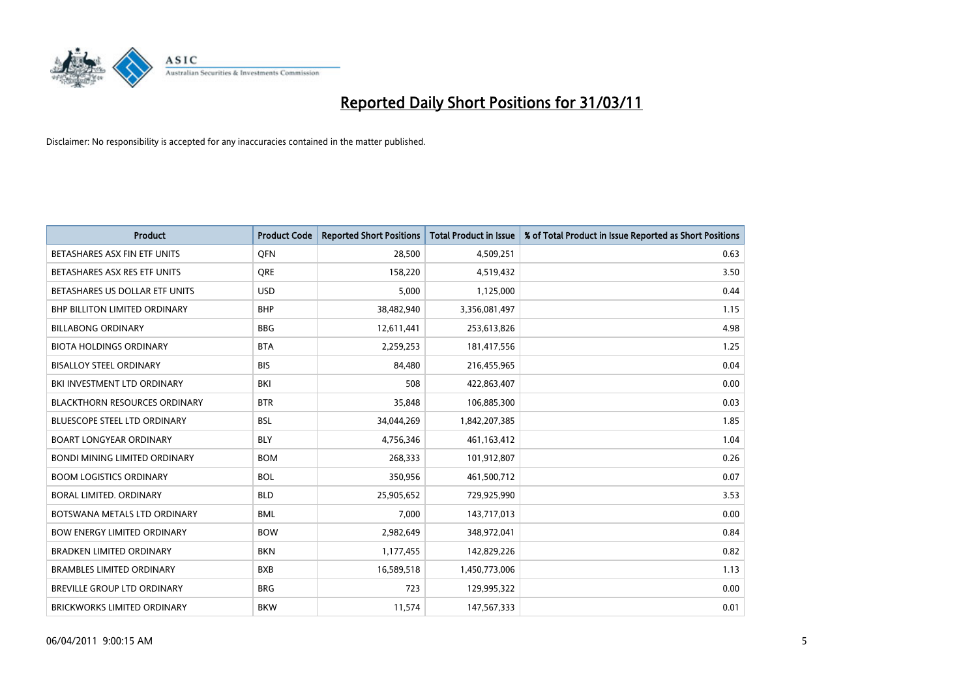

| <b>Product</b>                       | <b>Product Code</b> | <b>Reported Short Positions</b> | <b>Total Product in Issue</b> | % of Total Product in Issue Reported as Short Positions |
|--------------------------------------|---------------------|---------------------------------|-------------------------------|---------------------------------------------------------|
| BETASHARES ASX FIN ETF UNITS         | <b>OFN</b>          | 28.500                          | 4,509,251                     | 0.63                                                    |
| BETASHARES ASX RES ETF UNITS         | <b>ORE</b>          | 158,220                         | 4,519,432                     | 3.50                                                    |
| BETASHARES US DOLLAR ETF UNITS       | <b>USD</b>          | 5,000                           | 1,125,000                     | 0.44                                                    |
| <b>BHP BILLITON LIMITED ORDINARY</b> | <b>BHP</b>          | 38,482,940                      | 3,356,081,497                 | 1.15                                                    |
| <b>BILLABONG ORDINARY</b>            | <b>BBG</b>          | 12,611,441                      | 253,613,826                   | 4.98                                                    |
| <b>BIOTA HOLDINGS ORDINARY</b>       | <b>BTA</b>          | 2,259,253                       | 181,417,556                   | 1.25                                                    |
| <b>BISALLOY STEEL ORDINARY</b>       | <b>BIS</b>          | 84,480                          | 216,455,965                   | 0.04                                                    |
| BKI INVESTMENT LTD ORDINARY          | <b>BKI</b>          | 508                             | 422,863,407                   | 0.00                                                    |
| <b>BLACKTHORN RESOURCES ORDINARY</b> | <b>BTR</b>          | 35,848                          | 106,885,300                   | 0.03                                                    |
| <b>BLUESCOPE STEEL LTD ORDINARY</b>  | <b>BSL</b>          | 34,044,269                      | 1,842,207,385                 | 1.85                                                    |
| <b>BOART LONGYEAR ORDINARY</b>       | <b>BLY</b>          | 4,756,346                       | 461,163,412                   | 1.04                                                    |
| <b>BONDI MINING LIMITED ORDINARY</b> | <b>BOM</b>          | 268,333                         | 101,912,807                   | 0.26                                                    |
| <b>BOOM LOGISTICS ORDINARY</b>       | <b>BOL</b>          | 350,956                         | 461,500,712                   | 0.07                                                    |
| BORAL LIMITED, ORDINARY              | <b>BLD</b>          | 25,905,652                      | 729,925,990                   | 3.53                                                    |
| BOTSWANA METALS LTD ORDINARY         | <b>BML</b>          | 7.000                           | 143,717,013                   | 0.00                                                    |
| <b>BOW ENERGY LIMITED ORDINARY</b>   | <b>BOW</b>          | 2,982,649                       | 348,972,041                   | 0.84                                                    |
| <b>BRADKEN LIMITED ORDINARY</b>      | <b>BKN</b>          | 1,177,455                       | 142,829,226                   | 0.82                                                    |
| <b>BRAMBLES LIMITED ORDINARY</b>     | <b>BXB</b>          | 16,589,518                      | 1,450,773,006                 | 1.13                                                    |
| BREVILLE GROUP LTD ORDINARY          | <b>BRG</b>          | 723                             | 129,995,322                   | 0.00                                                    |
| <b>BRICKWORKS LIMITED ORDINARY</b>   | <b>BKW</b>          | 11,574                          | 147,567,333                   | 0.01                                                    |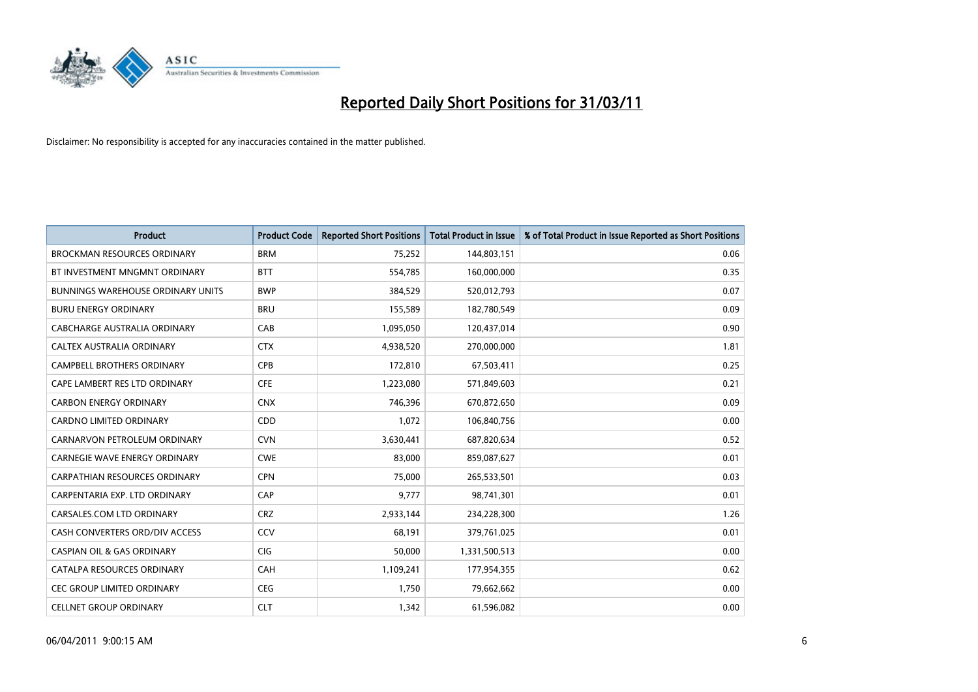

| <b>Product</b>                           | <b>Product Code</b> | <b>Reported Short Positions</b> | <b>Total Product in Issue</b> | % of Total Product in Issue Reported as Short Positions |
|------------------------------------------|---------------------|---------------------------------|-------------------------------|---------------------------------------------------------|
| <b>BROCKMAN RESOURCES ORDINARY</b>       | <b>BRM</b>          | 75,252                          | 144,803,151                   | 0.06                                                    |
| BT INVESTMENT MNGMNT ORDINARY            | <b>BTT</b>          | 554,785                         | 160,000,000                   | 0.35                                                    |
| <b>BUNNINGS WAREHOUSE ORDINARY UNITS</b> | <b>BWP</b>          | 384,529                         | 520,012,793                   | 0.07                                                    |
| <b>BURU ENERGY ORDINARY</b>              | <b>BRU</b>          | 155,589                         | 182,780,549                   | 0.09                                                    |
| <b>CABCHARGE AUSTRALIA ORDINARY</b>      | CAB                 | 1,095,050                       | 120,437,014                   | 0.90                                                    |
| CALTEX AUSTRALIA ORDINARY                | <b>CTX</b>          | 4,938,520                       | 270,000,000                   | 1.81                                                    |
| CAMPBELL BROTHERS ORDINARY               | <b>CPB</b>          | 172,810                         | 67,503,411                    | 0.25                                                    |
| CAPE LAMBERT RES LTD ORDINARY            | <b>CFE</b>          | 1,223,080                       | 571,849,603                   | 0.21                                                    |
| <b>CARBON ENERGY ORDINARY</b>            | <b>CNX</b>          | 746.396                         | 670,872,650                   | 0.09                                                    |
| <b>CARDNO LIMITED ORDINARY</b>           | CDD                 | 1,072                           | 106,840,756                   | 0.00                                                    |
| CARNARVON PETROLEUM ORDINARY             | <b>CVN</b>          | 3,630,441                       | 687,820,634                   | 0.52                                                    |
| <b>CARNEGIE WAVE ENERGY ORDINARY</b>     | <b>CWE</b>          | 83,000                          | 859,087,627                   | 0.01                                                    |
| <b>CARPATHIAN RESOURCES ORDINARY</b>     | <b>CPN</b>          | 75,000                          | 265,533,501                   | 0.03                                                    |
| CARPENTARIA EXP. LTD ORDINARY            | CAP                 | 9,777                           | 98,741,301                    | 0.01                                                    |
| CARSALES.COM LTD ORDINARY                | <b>CRZ</b>          | 2,933,144                       | 234,228,300                   | 1.26                                                    |
| CASH CONVERTERS ORD/DIV ACCESS           | CCV                 | 68,191                          | 379,761,025                   | 0.01                                                    |
| <b>CASPIAN OIL &amp; GAS ORDINARY</b>    | <b>CIG</b>          | 50,000                          | 1,331,500,513                 | 0.00                                                    |
| CATALPA RESOURCES ORDINARY               | CAH                 | 1,109,241                       | 177,954,355                   | 0.62                                                    |
| <b>CEC GROUP LIMITED ORDINARY</b>        | <b>CEG</b>          | 1,750                           | 79,662,662                    | 0.00                                                    |
| <b>CELLNET GROUP ORDINARY</b>            | <b>CLT</b>          | 1,342                           | 61,596,082                    | 0.00                                                    |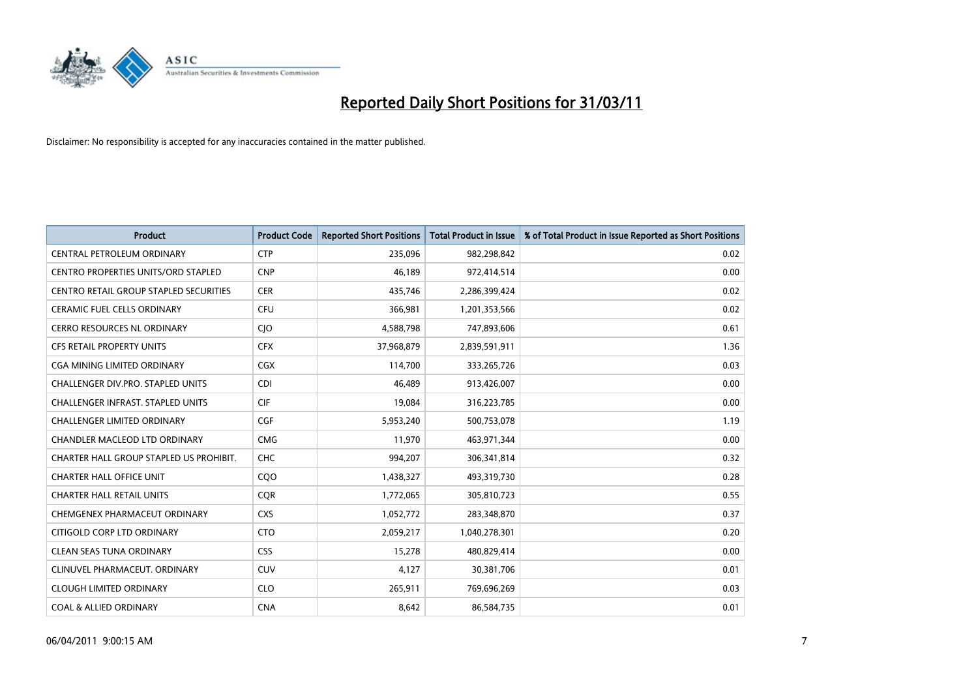

| <b>Product</b>                          | <b>Product Code</b> | <b>Reported Short Positions</b> | Total Product in Issue | % of Total Product in Issue Reported as Short Positions |
|-----------------------------------------|---------------------|---------------------------------|------------------------|---------------------------------------------------------|
| CENTRAL PETROLEUM ORDINARY              | <b>CTP</b>          | 235,096                         | 982,298,842            | 0.02                                                    |
| CENTRO PROPERTIES UNITS/ORD STAPLED     | <b>CNP</b>          | 46,189                          | 972,414,514            | 0.00                                                    |
| CENTRO RETAIL GROUP STAPLED SECURITIES  | <b>CER</b>          | 435,746                         | 2,286,399,424          | 0.02                                                    |
| CERAMIC FUEL CELLS ORDINARY             | <b>CFU</b>          | 366,981                         | 1,201,353,566          | 0.02                                                    |
| <b>CERRO RESOURCES NL ORDINARY</b>      | <b>CIO</b>          | 4,588,798                       | 747,893,606            | 0.61                                                    |
| <b>CFS RETAIL PROPERTY UNITS</b>        | <b>CFX</b>          | 37,968,879                      | 2,839,591,911          | 1.36                                                    |
| CGA MINING LIMITED ORDINARY             | <b>CGX</b>          | 114,700                         | 333,265,726            | 0.03                                                    |
| CHALLENGER DIV.PRO. STAPLED UNITS       | <b>CDI</b>          | 46,489                          | 913,426,007            | 0.00                                                    |
| CHALLENGER INFRAST. STAPLED UNITS       | <b>CIF</b>          | 19,084                          | 316,223,785            | 0.00                                                    |
| <b>CHALLENGER LIMITED ORDINARY</b>      | CGF                 | 5,953,240                       | 500,753,078            | 1.19                                                    |
| CHANDLER MACLEOD LTD ORDINARY           | <b>CMG</b>          | 11,970                          | 463,971,344            | 0.00                                                    |
| CHARTER HALL GROUP STAPLED US PROHIBIT. | <b>CHC</b>          | 994,207                         | 306,341,814            | 0.32                                                    |
| <b>CHARTER HALL OFFICE UNIT</b>         | COO                 | 1,438,327                       | 493,319,730            | 0.28                                                    |
| <b>CHARTER HALL RETAIL UNITS</b>        | <b>COR</b>          | 1,772,065                       | 305,810,723            | 0.55                                                    |
| CHEMGENEX PHARMACEUT ORDINARY           | <b>CXS</b>          | 1,052,772                       | 283,348,870            | 0.37                                                    |
| CITIGOLD CORP LTD ORDINARY              | <b>CTO</b>          | 2,059,217                       | 1,040,278,301          | 0.20                                                    |
| <b>CLEAN SEAS TUNA ORDINARY</b>         | <b>CSS</b>          | 15,278                          | 480,829,414            | 0.00                                                    |
| CLINUVEL PHARMACEUT. ORDINARY           | <b>CUV</b>          | 4,127                           | 30,381,706             | 0.01                                                    |
| <b>CLOUGH LIMITED ORDINARY</b>          | <b>CLO</b>          | 265,911                         | 769,696,269            | 0.03                                                    |
| <b>COAL &amp; ALLIED ORDINARY</b>       | <b>CNA</b>          | 8,642                           | 86,584,735             | 0.01                                                    |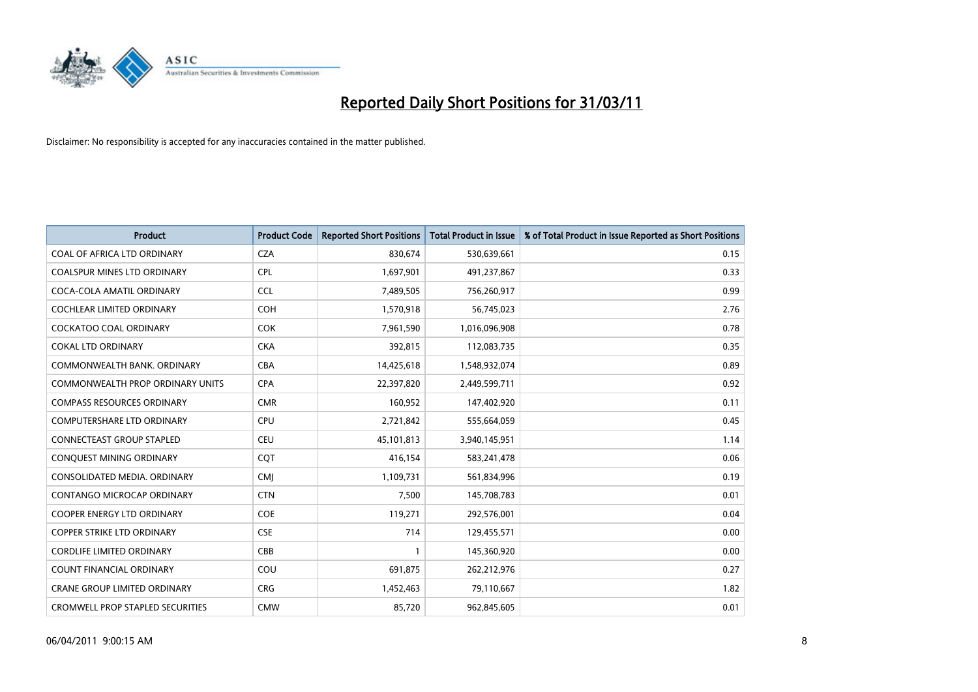

| <b>Product</b>                          | <b>Product Code</b> | <b>Reported Short Positions</b> | Total Product in Issue | % of Total Product in Issue Reported as Short Positions |
|-----------------------------------------|---------------------|---------------------------------|------------------------|---------------------------------------------------------|
| COAL OF AFRICA LTD ORDINARY             | <b>CZA</b>          | 830,674                         | 530,639,661            | 0.15                                                    |
| <b>COALSPUR MINES LTD ORDINARY</b>      | <b>CPL</b>          | 1,697,901                       | 491,237,867            | 0.33                                                    |
| COCA-COLA AMATIL ORDINARY               | <b>CCL</b>          | 7,489,505                       | 756,260,917            | 0.99                                                    |
| COCHLEAR LIMITED ORDINARY               | <b>COH</b>          | 1,570,918                       | 56,745,023             | 2.76                                                    |
| <b>COCKATOO COAL ORDINARY</b>           | <b>COK</b>          | 7,961,590                       | 1,016,096,908          | 0.78                                                    |
| <b>COKAL LTD ORDINARY</b>               | <b>CKA</b>          | 392,815                         | 112,083,735            | 0.35                                                    |
| COMMONWEALTH BANK, ORDINARY             | CBA                 | 14,425,618                      | 1,548,932,074          | 0.89                                                    |
| <b>COMMONWEALTH PROP ORDINARY UNITS</b> | <b>CPA</b>          | 22,397,820                      | 2,449,599,711          | 0.92                                                    |
| <b>COMPASS RESOURCES ORDINARY</b>       | <b>CMR</b>          | 160,952                         | 147,402,920            | 0.11                                                    |
| <b>COMPUTERSHARE LTD ORDINARY</b>       | <b>CPU</b>          | 2,721,842                       | 555,664,059            | 0.45                                                    |
| CONNECTEAST GROUP STAPLED               | CEU                 | 45,101,813                      | 3,940,145,951          | 1.14                                                    |
| CONQUEST MINING ORDINARY                | CQT                 | 416,154                         | 583,241,478            | 0.06                                                    |
| CONSOLIDATED MEDIA. ORDINARY            | <b>CMI</b>          | 1,109,731                       | 561,834,996            | 0.19                                                    |
| CONTANGO MICROCAP ORDINARY              | <b>CTN</b>          | 7,500                           | 145,708,783            | 0.01                                                    |
| <b>COOPER ENERGY LTD ORDINARY</b>       | <b>COE</b>          | 119,271                         | 292,576,001            | 0.04                                                    |
| <b>COPPER STRIKE LTD ORDINARY</b>       | <b>CSE</b>          | 714                             | 129,455,571            | 0.00                                                    |
| <b>CORDLIFE LIMITED ORDINARY</b>        | CBB                 |                                 | 145,360,920            | 0.00                                                    |
| COUNT FINANCIAL ORDINARY                | COU                 | 691,875                         | 262,212,976            | 0.27                                                    |
| <b>CRANE GROUP LIMITED ORDINARY</b>     | <b>CRG</b>          | 1,452,463                       | 79,110,667             | 1.82                                                    |
| <b>CROMWELL PROP STAPLED SECURITIES</b> | <b>CMW</b>          | 85,720                          | 962,845,605            | 0.01                                                    |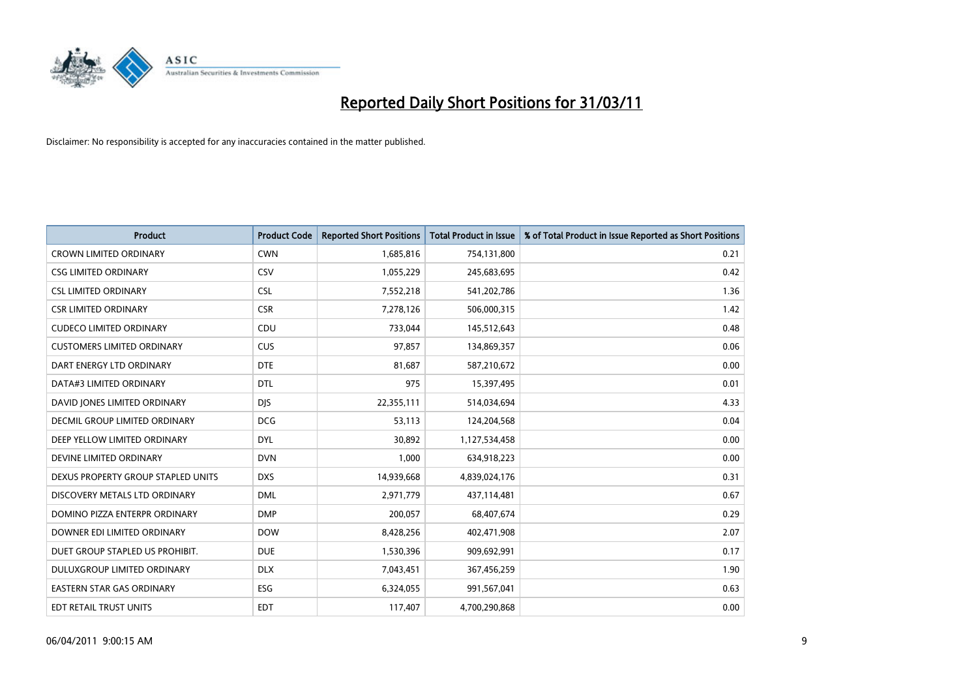

| <b>Product</b>                       | <b>Product Code</b> | <b>Reported Short Positions</b> | <b>Total Product in Issue</b> | % of Total Product in Issue Reported as Short Positions |
|--------------------------------------|---------------------|---------------------------------|-------------------------------|---------------------------------------------------------|
| <b>CROWN LIMITED ORDINARY</b>        | <b>CWN</b>          | 1,685,816                       | 754,131,800                   | 0.21                                                    |
| <b>CSG LIMITED ORDINARY</b>          | CSV                 | 1,055,229                       | 245,683,695                   | 0.42                                                    |
| <b>CSL LIMITED ORDINARY</b>          | <b>CSL</b>          | 7,552,218                       | 541,202,786                   | 1.36                                                    |
| <b>CSR LIMITED ORDINARY</b>          | <b>CSR</b>          | 7,278,126                       | 506,000,315                   | 1.42                                                    |
| <b>CUDECO LIMITED ORDINARY</b>       | CDU                 | 733.044                         | 145,512,643                   | 0.48                                                    |
| <b>CUSTOMERS LIMITED ORDINARY</b>    | CUS                 | 97,857                          | 134,869,357                   | 0.06                                                    |
| DART ENERGY LTD ORDINARY             | <b>DTE</b>          | 81,687                          | 587,210,672                   | 0.00                                                    |
| DATA#3 LIMITED ORDINARY              | <b>DTL</b>          | 975                             | 15,397,495                    | 0.01                                                    |
| DAVID JONES LIMITED ORDINARY         | <b>DJS</b>          | 22,355,111                      | 514,034,694                   | 4.33                                                    |
| <b>DECMIL GROUP LIMITED ORDINARY</b> | <b>DCG</b>          | 53,113                          | 124,204,568                   | 0.04                                                    |
| DEEP YELLOW LIMITED ORDINARY         | <b>DYL</b>          | 30,892                          | 1,127,534,458                 | 0.00                                                    |
| DEVINE LIMITED ORDINARY              | <b>DVN</b>          | 1,000                           | 634,918,223                   | 0.00                                                    |
| DEXUS PROPERTY GROUP STAPLED UNITS   | <b>DXS</b>          | 14,939,668                      | 4,839,024,176                 | 0.31                                                    |
| DISCOVERY METALS LTD ORDINARY        | <b>DML</b>          | 2,971,779                       | 437,114,481                   | 0.67                                                    |
| DOMINO PIZZA ENTERPR ORDINARY        | <b>DMP</b>          | 200,057                         | 68,407,674                    | 0.29                                                    |
| DOWNER EDI LIMITED ORDINARY          | <b>DOW</b>          | 8,428,256                       | 402,471,908                   | 2.07                                                    |
| DUET GROUP STAPLED US PROHIBIT.      | <b>DUE</b>          | 1,530,396                       | 909,692,991                   | 0.17                                                    |
| DULUXGROUP LIMITED ORDINARY          | <b>DLX</b>          | 7,043,451                       | 367,456,259                   | 1.90                                                    |
| <b>EASTERN STAR GAS ORDINARY</b>     | <b>ESG</b>          | 6,324,055                       | 991,567,041                   | 0.63                                                    |
| <b>EDT RETAIL TRUST UNITS</b>        | <b>EDT</b>          | 117,407                         | 4,700,290,868                 | 0.00                                                    |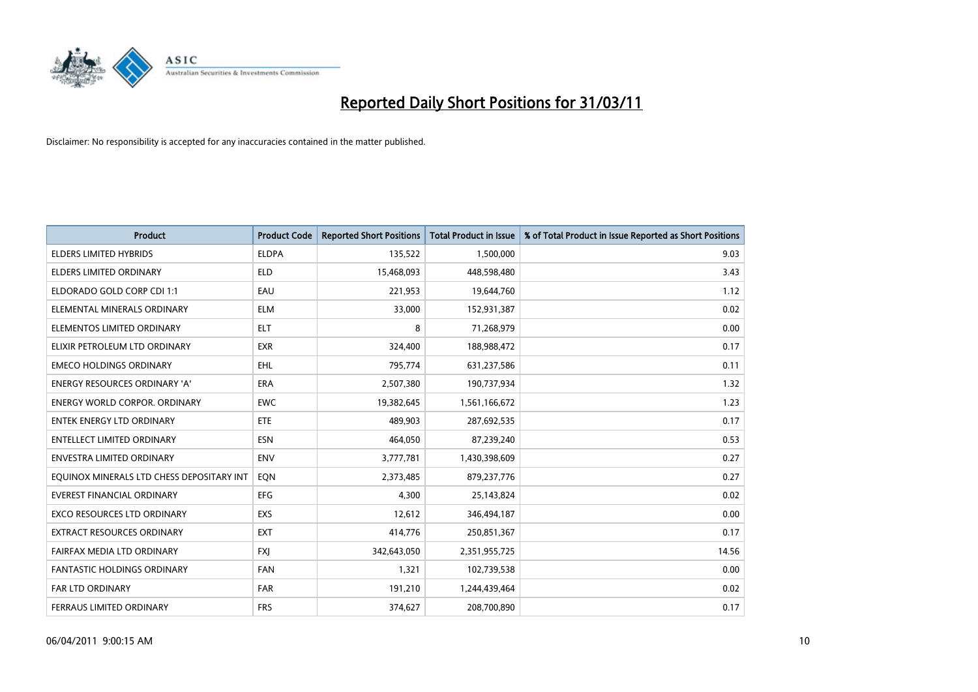

| <b>Product</b>                            | <b>Product Code</b> | <b>Reported Short Positions</b> | Total Product in Issue | % of Total Product in Issue Reported as Short Positions |
|-------------------------------------------|---------------------|---------------------------------|------------------------|---------------------------------------------------------|
| <b>ELDERS LIMITED HYBRIDS</b>             | <b>ELDPA</b>        | 135,522                         | 1,500,000              | 9.03                                                    |
| <b>ELDERS LIMITED ORDINARY</b>            | <b>ELD</b>          | 15,468,093                      | 448,598,480            | 3.43                                                    |
| ELDORADO GOLD CORP CDI 1:1                | EAU                 | 221,953                         | 19,644,760             | 1.12                                                    |
| ELEMENTAL MINERALS ORDINARY               | <b>ELM</b>          | 33,000                          | 152,931,387            | 0.02                                                    |
| ELEMENTOS LIMITED ORDINARY                | <b>ELT</b>          | 8                               | 71,268,979             | 0.00                                                    |
| ELIXIR PETROLEUM LTD ORDINARY             | <b>EXR</b>          | 324,400                         | 188,988,472            | 0.17                                                    |
| <b>EMECO HOLDINGS ORDINARY</b>            | <b>EHL</b>          | 795,774                         | 631,237,586            | 0.11                                                    |
| ENERGY RESOURCES ORDINARY 'A'             | <b>ERA</b>          | 2,507,380                       | 190,737,934            | 1.32                                                    |
| <b>ENERGY WORLD CORPOR, ORDINARY</b>      | <b>EWC</b>          | 19,382,645                      | 1,561,166,672          | 1.23                                                    |
| <b>ENTEK ENERGY LTD ORDINARY</b>          | ETE                 | 489,903                         | 287,692,535            | 0.17                                                    |
| ENTELLECT LIMITED ORDINARY                | <b>ESN</b>          | 464,050                         | 87,239,240             | 0.53                                                    |
| ENVESTRA LIMITED ORDINARY                 | <b>ENV</b>          | 3,777,781                       | 1,430,398,609          | 0.27                                                    |
| EQUINOX MINERALS LTD CHESS DEPOSITARY INT | EQN                 | 2,373,485                       | 879,237,776            | 0.27                                                    |
| <b>EVEREST FINANCIAL ORDINARY</b>         | <b>EFG</b>          | 4,300                           | 25,143,824             | 0.02                                                    |
| <b>EXCO RESOURCES LTD ORDINARY</b>        | EXS                 | 12,612                          | 346,494,187            | 0.00                                                    |
| <b>EXTRACT RESOURCES ORDINARY</b>         | <b>EXT</b>          | 414,776                         | 250,851,367            | 0.17                                                    |
| FAIRFAX MEDIA LTD ORDINARY                | <b>FXJ</b>          | 342,643,050                     | 2,351,955,725          | 14.56                                                   |
| <b>FANTASTIC HOLDINGS ORDINARY</b>        | <b>FAN</b>          | 1,321                           | 102,739,538            | 0.00                                                    |
| FAR LTD ORDINARY                          | <b>FAR</b>          | 191,210                         | 1,244,439,464          | 0.02                                                    |
| <b>FERRAUS LIMITED ORDINARY</b>           | <b>FRS</b>          | 374,627                         | 208,700,890            | 0.17                                                    |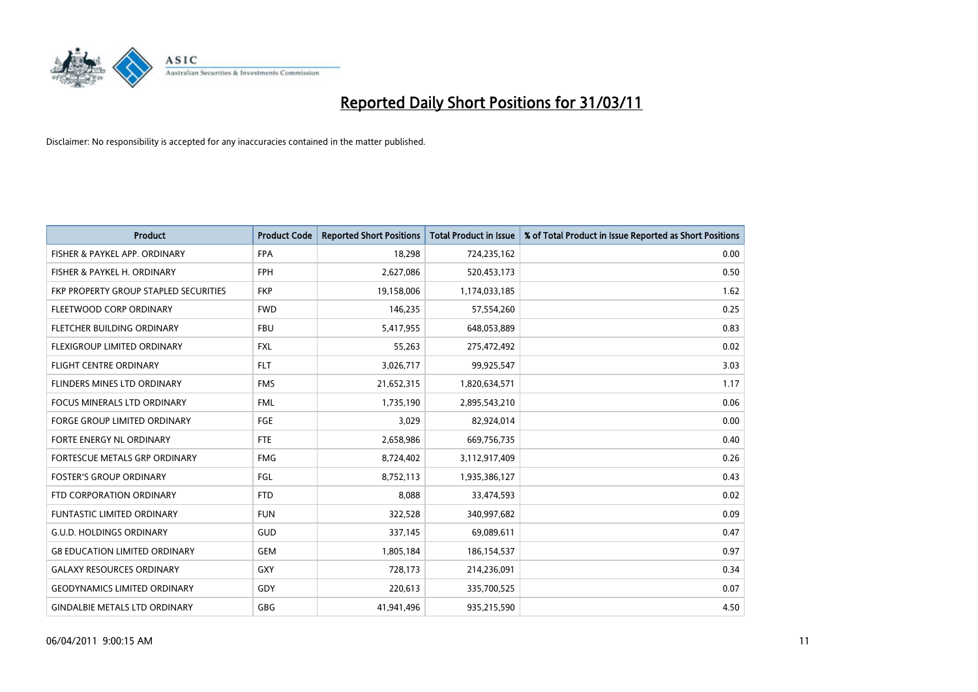

| <b>Product</b>                        | <b>Product Code</b> | <b>Reported Short Positions</b> | <b>Total Product in Issue</b> | % of Total Product in Issue Reported as Short Positions |
|---------------------------------------|---------------------|---------------------------------|-------------------------------|---------------------------------------------------------|
| FISHER & PAYKEL APP. ORDINARY         | <b>FPA</b>          | 18,298                          | 724,235,162                   | 0.00                                                    |
| FISHER & PAYKEL H. ORDINARY           | <b>FPH</b>          | 2,627,086                       | 520,453,173                   | 0.50                                                    |
| FKP PROPERTY GROUP STAPLED SECURITIES | <b>FKP</b>          | 19,158,006                      | 1,174,033,185                 | 1.62                                                    |
| FLEETWOOD CORP ORDINARY               | <b>FWD</b>          | 146,235                         | 57,554,260                    | 0.25                                                    |
| FLETCHER BUILDING ORDINARY            | <b>FBU</b>          | 5,417,955                       | 648,053,889                   | 0.83                                                    |
| FLEXIGROUP LIMITED ORDINARY           | <b>FXL</b>          | 55,263                          | 275,472,492                   | 0.02                                                    |
| <b>FLIGHT CENTRE ORDINARY</b>         | <b>FLT</b>          | 3,026,717                       | 99,925,547                    | 3.03                                                    |
| FLINDERS MINES LTD ORDINARY           | <b>FMS</b>          | 21,652,315                      | 1,820,634,571                 | 1.17                                                    |
| <b>FOCUS MINERALS LTD ORDINARY</b>    | <b>FML</b>          | 1,735,190                       | 2,895,543,210                 | 0.06                                                    |
| <b>FORGE GROUP LIMITED ORDINARY</b>   | <b>FGE</b>          | 3,029                           | 82,924,014                    | 0.00                                                    |
| FORTE ENERGY NL ORDINARY              | <b>FTE</b>          | 2,658,986                       | 669,756,735                   | 0.40                                                    |
| <b>FORTESCUE METALS GRP ORDINARY</b>  | <b>FMG</b>          | 8,724,402                       | 3,112,917,409                 | 0.26                                                    |
| <b>FOSTER'S GROUP ORDINARY</b>        | FGL                 | 8,752,113                       | 1,935,386,127                 | 0.43                                                    |
| FTD CORPORATION ORDINARY              | <b>FTD</b>          | 8,088                           | 33,474,593                    | 0.02                                                    |
| <b>FUNTASTIC LIMITED ORDINARY</b>     | <b>FUN</b>          | 322,528                         | 340,997,682                   | 0.09                                                    |
| <b>G.U.D. HOLDINGS ORDINARY</b>       | <b>GUD</b>          | 337,145                         | 69,089,611                    | 0.47                                                    |
| <b>G8 EDUCATION LIMITED ORDINARY</b>  | <b>GEM</b>          | 1,805,184                       | 186, 154, 537                 | 0.97                                                    |
| <b>GALAXY RESOURCES ORDINARY</b>      | <b>GXY</b>          | 728,173                         | 214,236,091                   | 0.34                                                    |
| <b>GEODYNAMICS LIMITED ORDINARY</b>   | GDY                 | 220,613                         | 335,700,525                   | 0.07                                                    |
| <b>GINDALBIE METALS LTD ORDINARY</b>  | <b>GBG</b>          | 41,941,496                      | 935,215,590                   | 4.50                                                    |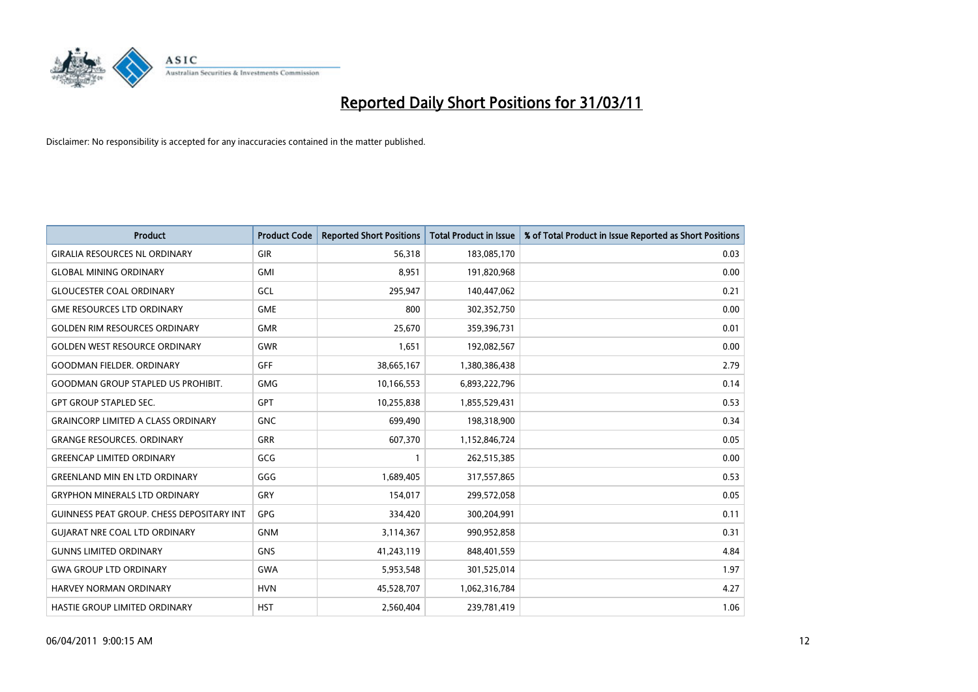

| <b>Product</b>                            | <b>Product Code</b> | <b>Reported Short Positions</b> | Total Product in Issue | % of Total Product in Issue Reported as Short Positions |
|-------------------------------------------|---------------------|---------------------------------|------------------------|---------------------------------------------------------|
| <b>GIRALIA RESOURCES NL ORDINARY</b>      | GIR                 | 56,318                          | 183,085,170            | 0.03                                                    |
| <b>GLOBAL MINING ORDINARY</b>             | <b>GMI</b>          | 8,951                           | 191,820,968            | 0.00                                                    |
| <b>GLOUCESTER COAL ORDINARY</b>           | GCL                 | 295,947                         | 140,447,062            | 0.21                                                    |
| <b>GME RESOURCES LTD ORDINARY</b>         | <b>GME</b>          | 800                             | 302,352,750            | 0.00                                                    |
| <b>GOLDEN RIM RESOURCES ORDINARY</b>      | <b>GMR</b>          | 25,670                          | 359,396,731            | 0.01                                                    |
| <b>GOLDEN WEST RESOURCE ORDINARY</b>      | <b>GWR</b>          | 1,651                           | 192,082,567            | 0.00                                                    |
| <b>GOODMAN FIELDER, ORDINARY</b>          | <b>GFF</b>          | 38,665,167                      | 1,380,386,438          | 2.79                                                    |
| <b>GOODMAN GROUP STAPLED US PROHIBIT.</b> | <b>GMG</b>          | 10,166,553                      | 6,893,222,796          | 0.14                                                    |
| <b>GPT GROUP STAPLED SEC.</b>             | <b>GPT</b>          | 10,255,838                      | 1,855,529,431          | 0.53                                                    |
| <b>GRAINCORP LIMITED A CLASS ORDINARY</b> | <b>GNC</b>          | 699,490                         | 198,318,900            | 0.34                                                    |
| <b>GRANGE RESOURCES. ORDINARY</b>         | <b>GRR</b>          | 607,370                         | 1,152,846,724          | 0.05                                                    |
| <b>GREENCAP LIMITED ORDINARY</b>          | GCG                 |                                 | 262,515,385            | 0.00                                                    |
| <b>GREENLAND MIN EN LTD ORDINARY</b>      | GGG                 | 1,689,405                       | 317,557,865            | 0.53                                                    |
| <b>GRYPHON MINERALS LTD ORDINARY</b>      | GRY                 | 154,017                         | 299,572,058            | 0.05                                                    |
| GUINNESS PEAT GROUP. CHESS DEPOSITARY INT | GPG                 | 334,420                         | 300,204,991            | 0.11                                                    |
| <b>GUIARAT NRE COAL LTD ORDINARY</b>      | <b>GNM</b>          | 3,114,367                       | 990,952,858            | 0.31                                                    |
| <b>GUNNS LIMITED ORDINARY</b>             | <b>GNS</b>          | 41,243,119                      | 848,401,559            | 4.84                                                    |
| <b>GWA GROUP LTD ORDINARY</b>             | <b>GWA</b>          | 5,953,548                       | 301,525,014            | 1.97                                                    |
| HARVEY NORMAN ORDINARY                    | <b>HVN</b>          | 45,528,707                      | 1,062,316,784          | 4.27                                                    |
| HASTIE GROUP LIMITED ORDINARY             | <b>HST</b>          | 2,560,404                       | 239,781,419            | 1.06                                                    |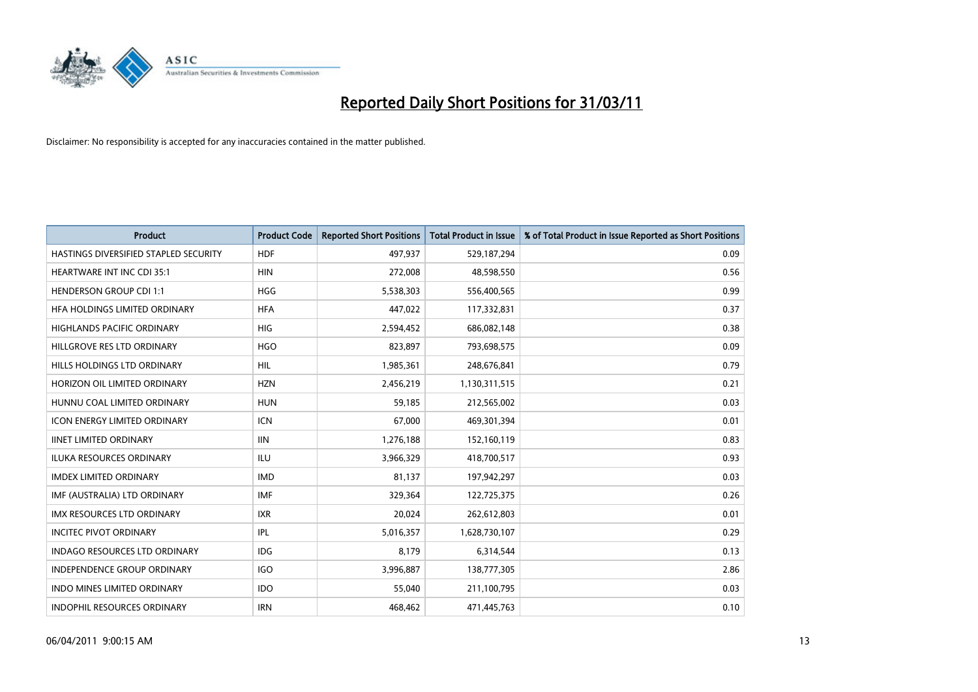

| <b>Product</b>                        | <b>Product Code</b> | <b>Reported Short Positions</b> | Total Product in Issue | % of Total Product in Issue Reported as Short Positions |
|---------------------------------------|---------------------|---------------------------------|------------------------|---------------------------------------------------------|
| HASTINGS DIVERSIFIED STAPLED SECURITY | <b>HDF</b>          | 497,937                         | 529,187,294            | 0.09                                                    |
| <b>HEARTWARE INT INC CDI 35:1</b>     | <b>HIN</b>          | 272,008                         | 48,598,550             | 0.56                                                    |
| <b>HENDERSON GROUP CDI 1:1</b>        | <b>HGG</b>          | 5,538,303                       | 556,400,565            | 0.99                                                    |
| HFA HOLDINGS LIMITED ORDINARY         | <b>HFA</b>          | 447,022                         | 117,332,831            | 0.37                                                    |
| <b>HIGHLANDS PACIFIC ORDINARY</b>     | <b>HIG</b>          | 2,594,452                       | 686,082,148            | 0.38                                                    |
| HILLGROVE RES LTD ORDINARY            | <b>HGO</b>          | 823,897                         | 793,698,575            | 0.09                                                    |
| HILLS HOLDINGS LTD ORDINARY           | <b>HIL</b>          | 1,985,361                       | 248,676,841            | 0.79                                                    |
| HORIZON OIL LIMITED ORDINARY          | <b>HZN</b>          | 2,456,219                       | 1,130,311,515          | 0.21                                                    |
| HUNNU COAL LIMITED ORDINARY           | <b>HUN</b>          | 59,185                          | 212,565,002            | 0.03                                                    |
| <b>ICON ENERGY LIMITED ORDINARY</b>   | <b>ICN</b>          | 67,000                          | 469,301,394            | 0.01                                                    |
| <b>IINET LIMITED ORDINARY</b>         | <b>IIN</b>          | 1,276,188                       | 152,160,119            | 0.83                                                    |
| <b>ILUKA RESOURCES ORDINARY</b>       | <b>ILU</b>          | 3,966,329                       | 418,700,517            | 0.93                                                    |
| <b>IMDEX LIMITED ORDINARY</b>         | <b>IMD</b>          | 81,137                          | 197,942,297            | 0.03                                                    |
| IMF (AUSTRALIA) LTD ORDINARY          | IMF                 | 329,364                         | 122,725,375            | 0.26                                                    |
| <b>IMX RESOURCES LTD ORDINARY</b>     | <b>IXR</b>          | 20,024                          | 262,612,803            | 0.01                                                    |
| <b>INCITEC PIVOT ORDINARY</b>         | <b>IPL</b>          | 5,016,357                       | 1,628,730,107          | 0.29                                                    |
| INDAGO RESOURCES LTD ORDINARY         | <b>IDG</b>          | 8,179                           | 6,314,544              | 0.13                                                    |
| INDEPENDENCE GROUP ORDINARY           | <b>IGO</b>          | 3,996,887                       | 138,777,305            | 2.86                                                    |
| INDO MINES LIMITED ORDINARY           | <b>IDO</b>          | 55,040                          | 211,100,795            | 0.03                                                    |
| INDOPHIL RESOURCES ORDINARY           | <b>IRN</b>          | 468,462                         | 471,445,763            | 0.10                                                    |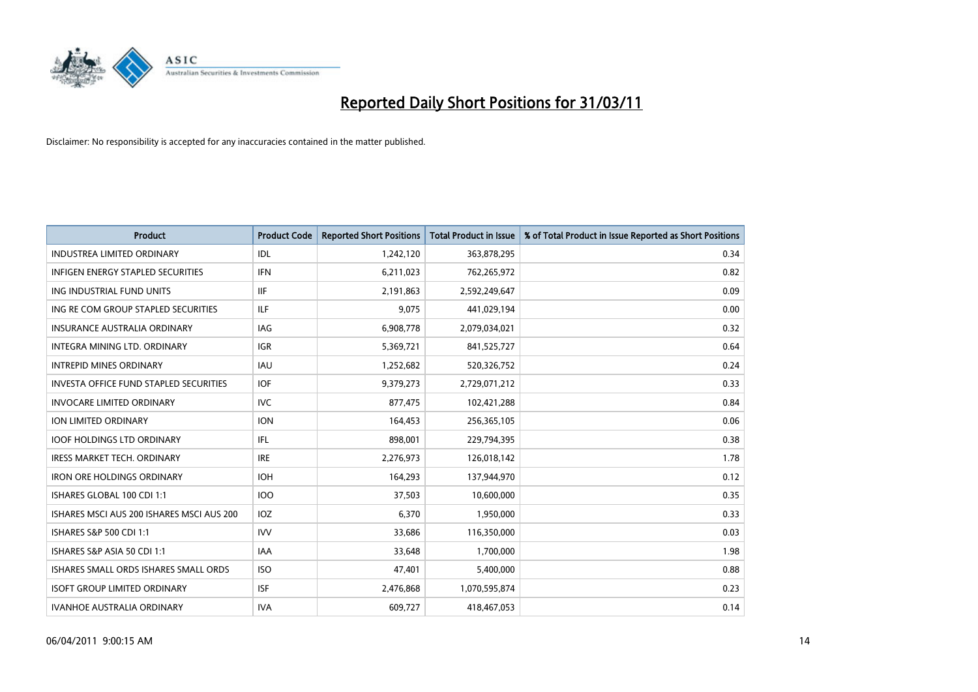

| <b>Product</b>                                | <b>Product Code</b> | <b>Reported Short Positions</b> | <b>Total Product in Issue</b> | % of Total Product in Issue Reported as Short Positions |
|-----------------------------------------------|---------------------|---------------------------------|-------------------------------|---------------------------------------------------------|
| <b>INDUSTREA LIMITED ORDINARY</b>             | IDL                 | 1,242,120                       | 363,878,295                   | 0.34                                                    |
| INFIGEN ENERGY STAPLED SECURITIES             | <b>IFN</b>          | 6,211,023                       | 762,265,972                   | 0.82                                                    |
| ING INDUSTRIAL FUND UNITS                     | <b>IIF</b>          | 2,191,863                       | 2,592,249,647                 | 0.09                                                    |
| ING RE COM GROUP STAPLED SECURITIES           | ILF.                | 9,075                           | 441,029,194                   | 0.00                                                    |
| <b>INSURANCE AUSTRALIA ORDINARY</b>           | IAG                 | 6,908,778                       | 2,079,034,021                 | 0.32                                                    |
| INTEGRA MINING LTD, ORDINARY                  | <b>IGR</b>          | 5,369,721                       | 841,525,727                   | 0.64                                                    |
| <b>INTREPID MINES ORDINARY</b>                | <b>IAU</b>          | 1,252,682                       | 520,326,752                   | 0.24                                                    |
| <b>INVESTA OFFICE FUND STAPLED SECURITIES</b> | <b>IOF</b>          | 9,379,273                       | 2,729,071,212                 | 0.33                                                    |
| <b>INVOCARE LIMITED ORDINARY</b>              | <b>IVC</b>          | 877,475                         | 102,421,288                   | 0.84                                                    |
| <b>ION LIMITED ORDINARY</b>                   | <b>ION</b>          | 164,453                         | 256,365,105                   | 0.06                                                    |
| <b>IOOF HOLDINGS LTD ORDINARY</b>             | IFL                 | 898,001                         | 229,794,395                   | 0.38                                                    |
| <b>IRESS MARKET TECH. ORDINARY</b>            | <b>IRE</b>          | 2,276,973                       | 126,018,142                   | 1.78                                                    |
| <b>IRON ORE HOLDINGS ORDINARY</b>             | <b>IOH</b>          | 164,293                         | 137,944,970                   | 0.12                                                    |
| ISHARES GLOBAL 100 CDI 1:1                    | <b>IOO</b>          | 37,503                          | 10,600,000                    | 0.35                                                    |
| ISHARES MSCLAUS 200 ISHARES MSCLAUS 200       | <b>IOZ</b>          | 6,370                           | 1,950,000                     | 0.33                                                    |
| ISHARES S&P 500 CDI 1:1                       | <b>IVV</b>          | 33,686                          | 116,350,000                   | 0.03                                                    |
| ISHARES S&P ASIA 50 CDI 1:1                   | <b>IAA</b>          | 33,648                          | 1,700,000                     | 1.98                                                    |
| ISHARES SMALL ORDS ISHARES SMALL ORDS         | <b>ISO</b>          | 47,401                          | 5,400,000                     | 0.88                                                    |
| <b>ISOFT GROUP LIMITED ORDINARY</b>           | <b>ISF</b>          | 2,476,868                       | 1,070,595,874                 | 0.23                                                    |
| IVANHOE AUSTRALIA ORDINARY                    | <b>IVA</b>          | 609,727                         | 418,467,053                   | 0.14                                                    |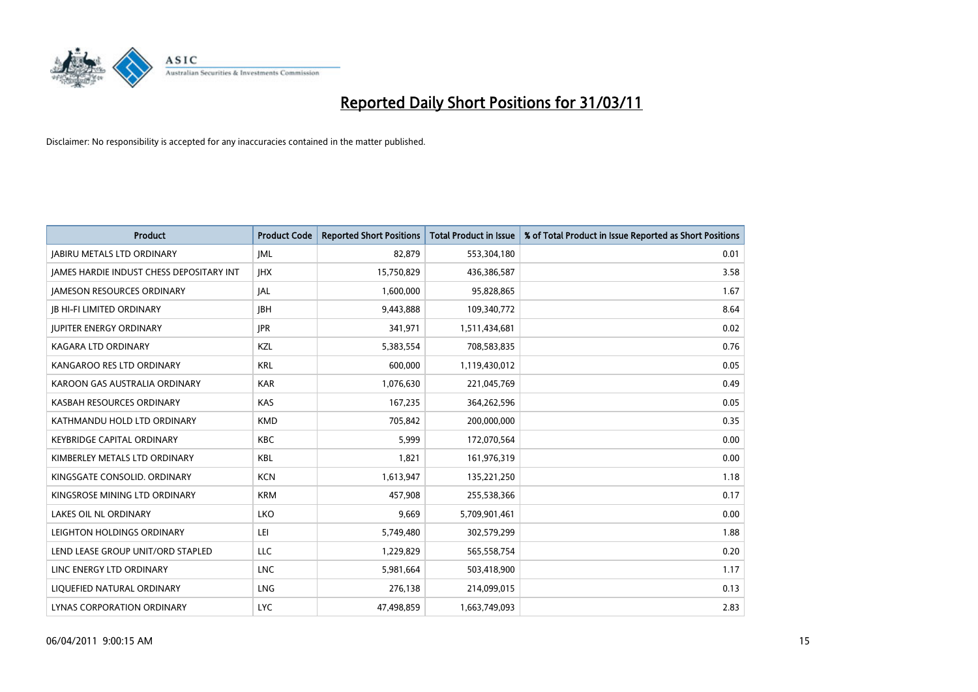

| <b>Product</b>                                  | <b>Product Code</b> | <b>Reported Short Positions</b> | Total Product in Issue | % of Total Product in Issue Reported as Short Positions |
|-------------------------------------------------|---------------------|---------------------------------|------------------------|---------------------------------------------------------|
| <b>JABIRU METALS LTD ORDINARY</b>               | <b>JML</b>          | 82,879                          | 553,304,180            | 0.01                                                    |
| <b>JAMES HARDIE INDUST CHESS DEPOSITARY INT</b> | <b>IHX</b>          | 15,750,829                      | 436,386,587            | 3.58                                                    |
| <b>JAMESON RESOURCES ORDINARY</b>               | <b>JAL</b>          | 1,600,000                       | 95,828,865             | 1.67                                                    |
| <b>JB HI-FI LIMITED ORDINARY</b>                | <b>IBH</b>          | 9,443,888                       | 109,340,772            | 8.64                                                    |
| <b>IUPITER ENERGY ORDINARY</b>                  | <b>JPR</b>          | 341,971                         | 1,511,434,681          | 0.02                                                    |
| KAGARA LTD ORDINARY                             | KZL                 | 5,383,554                       | 708,583,835            | 0.76                                                    |
| KANGAROO RES LTD ORDINARY                       | <b>KRL</b>          | 600.000                         | 1,119,430,012          | 0.05                                                    |
| KAROON GAS AUSTRALIA ORDINARY                   | <b>KAR</b>          | 1,076,630                       | 221,045,769            | 0.49                                                    |
| KASBAH RESOURCES ORDINARY                       | <b>KAS</b>          | 167,235                         | 364,262,596            | 0.05                                                    |
| KATHMANDU HOLD LTD ORDINARY                     | <b>KMD</b>          | 705,842                         | 200,000,000            | 0.35                                                    |
| <b>KEYBRIDGE CAPITAL ORDINARY</b>               | <b>KBC</b>          | 5,999                           | 172,070,564            | 0.00                                                    |
| KIMBERLEY METALS LTD ORDINARY                   | <b>KBL</b>          | 1,821                           | 161,976,319            | 0.00                                                    |
| KINGSGATE CONSOLID. ORDINARY                    | <b>KCN</b>          | 1,613,947                       | 135,221,250            | 1.18                                                    |
| KINGSROSE MINING LTD ORDINARY                   | <b>KRM</b>          | 457,908                         | 255,538,366            | 0.17                                                    |
| <b>LAKES OIL NL ORDINARY</b>                    | <b>LKO</b>          | 9,669                           | 5,709,901,461          | 0.00                                                    |
| LEIGHTON HOLDINGS ORDINARY                      | LEI                 | 5,749,480                       | 302,579,299            | 1.88                                                    |
| LEND LEASE GROUP UNIT/ORD STAPLED               | LLC                 | 1,229,829                       | 565,558,754            | 0.20                                                    |
| LINC ENERGY LTD ORDINARY                        | <b>LNC</b>          | 5,981,664                       | 503,418,900            | 1.17                                                    |
| LIOUEFIED NATURAL ORDINARY                      | LNG                 | 276,138                         | 214,099,015            | 0.13                                                    |
| LYNAS CORPORATION ORDINARY                      | <b>LYC</b>          | 47,498,859                      | 1,663,749,093          | 2.83                                                    |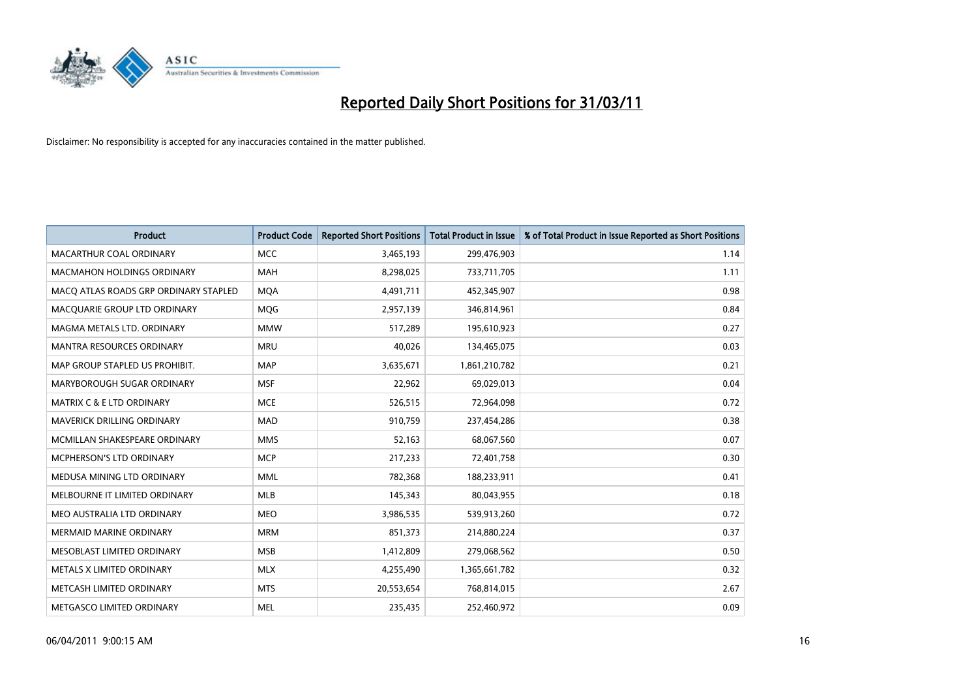

| <b>Product</b>                        | <b>Product Code</b> | <b>Reported Short Positions</b> | Total Product in Issue | % of Total Product in Issue Reported as Short Positions |
|---------------------------------------|---------------------|---------------------------------|------------------------|---------------------------------------------------------|
| <b>MACARTHUR COAL ORDINARY</b>        | <b>MCC</b>          | 3,465,193                       | 299,476,903            | 1.14                                                    |
| <b>MACMAHON HOLDINGS ORDINARY</b>     | <b>MAH</b>          | 8,298,025                       | 733,711,705            | 1.11                                                    |
| MACO ATLAS ROADS GRP ORDINARY STAPLED | <b>MQA</b>          | 4,491,711                       | 452,345,907            | 0.98                                                    |
| MACQUARIE GROUP LTD ORDINARY          | MQG                 | 2,957,139                       | 346,814,961            | 0.84                                                    |
| MAGMA METALS LTD. ORDINARY            | <b>MMW</b>          | 517,289                         | 195,610,923            | 0.27                                                    |
| <b>MANTRA RESOURCES ORDINARY</b>      | <b>MRU</b>          | 40,026                          | 134,465,075            | 0.03                                                    |
| MAP GROUP STAPLED US PROHIBIT.        | <b>MAP</b>          | 3,635,671                       | 1,861,210,782          | 0.21                                                    |
| MARYBOROUGH SUGAR ORDINARY            | <b>MSF</b>          | 22,962                          | 69,029,013             | 0.04                                                    |
| <b>MATRIX C &amp; E LTD ORDINARY</b>  | <b>MCE</b>          | 526,515                         | 72,964,098             | 0.72                                                    |
| MAVERICK DRILLING ORDINARY            | <b>MAD</b>          | 910,759                         | 237,454,286            | 0.38                                                    |
| MCMILLAN SHAKESPEARE ORDINARY         | <b>MMS</b>          | 52,163                          | 68,067,560             | 0.07                                                    |
| MCPHERSON'S LTD ORDINARY              | <b>MCP</b>          | 217,233                         | 72,401,758             | 0.30                                                    |
| MEDUSA MINING LTD ORDINARY            | <b>MML</b>          | 782,368                         | 188,233,911            | 0.41                                                    |
| MELBOURNE IT LIMITED ORDINARY         | <b>MLB</b>          | 145,343                         | 80,043,955             | 0.18                                                    |
| MEO AUSTRALIA LTD ORDINARY            | <b>MEO</b>          | 3,986,535                       | 539,913,260            | 0.72                                                    |
| <b>MERMAID MARINE ORDINARY</b>        | <b>MRM</b>          | 851,373                         | 214,880,224            | 0.37                                                    |
| MESOBLAST LIMITED ORDINARY            | <b>MSB</b>          | 1,412,809                       | 279,068,562            | 0.50                                                    |
| METALS X LIMITED ORDINARY             | <b>MLX</b>          | 4,255,490                       | 1,365,661,782          | 0.32                                                    |
| METCASH LIMITED ORDINARY              | <b>MTS</b>          | 20,553,654                      | 768,814,015            | 2.67                                                    |
| METGASCO LIMITED ORDINARY             | <b>MEL</b>          | 235,435                         | 252,460,972            | 0.09                                                    |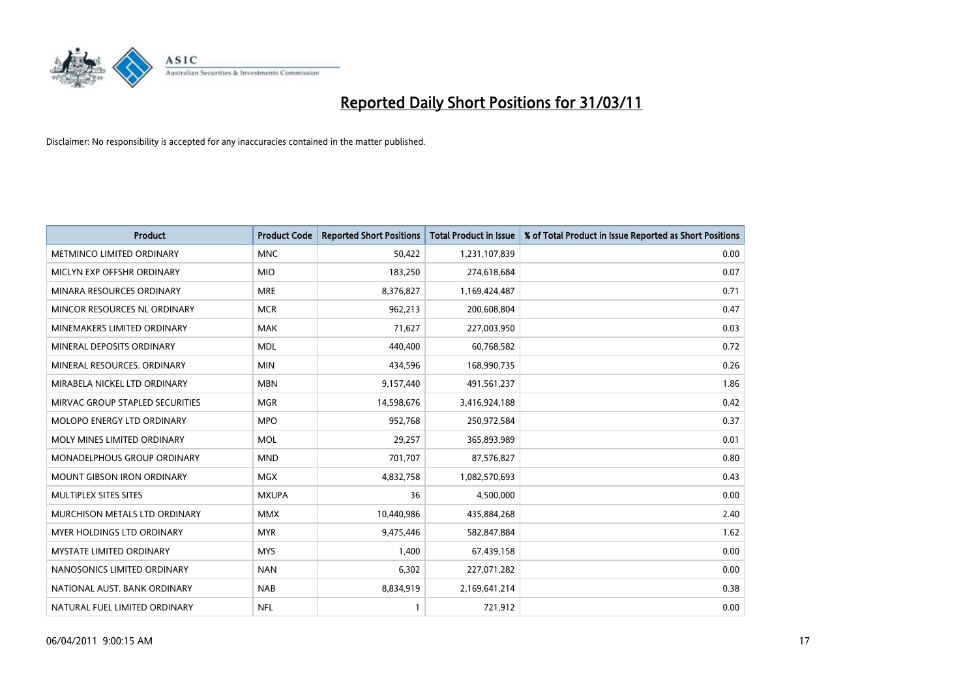

| <b>Product</b>                     | <b>Product Code</b> | <b>Reported Short Positions</b> | Total Product in Issue | % of Total Product in Issue Reported as Short Positions |
|------------------------------------|---------------------|---------------------------------|------------------------|---------------------------------------------------------|
| <b>METMINCO LIMITED ORDINARY</b>   | <b>MNC</b>          | 50,422                          | 1,231,107,839          | 0.00                                                    |
| MICLYN EXP OFFSHR ORDINARY         | <b>MIO</b>          | 183,250                         | 274,618,684            | 0.07                                                    |
| MINARA RESOURCES ORDINARY          | <b>MRE</b>          | 8,376,827                       | 1,169,424,487          | 0.71                                                    |
| MINCOR RESOURCES NL ORDINARY       | <b>MCR</b>          | 962,213                         | 200,608,804            | 0.47                                                    |
| MINEMAKERS LIMITED ORDINARY        | <b>MAK</b>          | 71,627                          | 227,003,950            | 0.03                                                    |
| MINERAL DEPOSITS ORDINARY          | <b>MDL</b>          | 440.400                         | 60,768,582             | 0.72                                                    |
| MINERAL RESOURCES, ORDINARY        | <b>MIN</b>          | 434,596                         | 168,990,735            | 0.26                                                    |
| MIRABELA NICKEL LTD ORDINARY       | <b>MBN</b>          | 9,157,440                       | 491,561,237            | 1.86                                                    |
| MIRVAC GROUP STAPLED SECURITIES    | <b>MGR</b>          | 14,598,676                      | 3,416,924,188          | 0.42                                                    |
| MOLOPO ENERGY LTD ORDINARY         | <b>MPO</b>          | 952,768                         | 250,972,584            | 0.37                                                    |
| MOLY MINES LIMITED ORDINARY        | <b>MOL</b>          | 29,257                          | 365,893,989            | 0.01                                                    |
| <b>MONADELPHOUS GROUP ORDINARY</b> | <b>MND</b>          | 701,707                         | 87,576,827             | 0.80                                                    |
| MOUNT GIBSON IRON ORDINARY         | MGX                 | 4,832,758                       | 1,082,570,693          | 0.43                                                    |
| MULTIPLEX SITES SITES              | <b>MXUPA</b>        | 36                              | 4,500,000              | 0.00                                                    |
| MURCHISON METALS LTD ORDINARY      | <b>MMX</b>          | 10,440,986                      | 435,884,268            | 2.40                                                    |
| MYER HOLDINGS LTD ORDINARY         | <b>MYR</b>          | 9,475,446                       | 582,847,884            | 1.62                                                    |
| MYSTATE LIMITED ORDINARY           | <b>MYS</b>          | 1,400                           | 67,439,158             | 0.00                                                    |
| NANOSONICS LIMITED ORDINARY        | <b>NAN</b>          | 6,302                           | 227,071,282            | 0.00                                                    |
| NATIONAL AUST. BANK ORDINARY       | <b>NAB</b>          | 8,834,919                       | 2,169,641,214          | 0.38                                                    |
| NATURAL FUEL LIMITED ORDINARY      | <b>NFL</b>          |                                 | 721,912                | 0.00                                                    |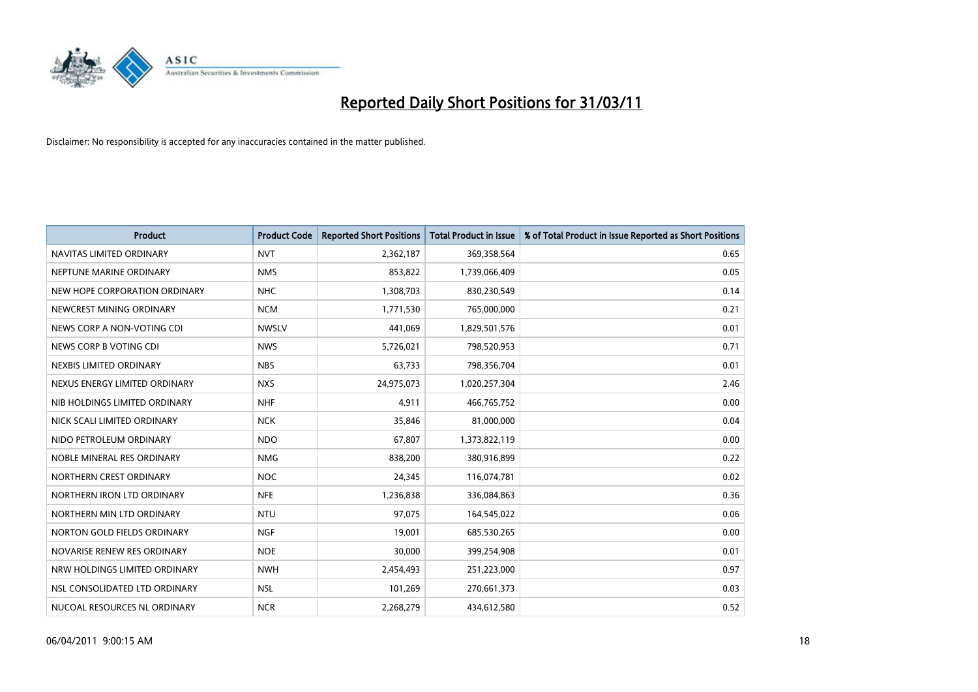

| <b>Product</b>                | <b>Product Code</b> | <b>Reported Short Positions</b> | <b>Total Product in Issue</b> | % of Total Product in Issue Reported as Short Positions |
|-------------------------------|---------------------|---------------------------------|-------------------------------|---------------------------------------------------------|
| NAVITAS LIMITED ORDINARY      | <b>NVT</b>          | 2,362,187                       | 369,358,564                   | 0.65                                                    |
| NEPTUNE MARINE ORDINARY       | <b>NMS</b>          | 853,822                         | 1,739,066,409                 | 0.05                                                    |
| NEW HOPE CORPORATION ORDINARY | <b>NHC</b>          | 1,308,703                       | 830,230,549                   | 0.14                                                    |
| NEWCREST MINING ORDINARY      | <b>NCM</b>          | 1,771,530                       | 765,000,000                   | 0.21                                                    |
| NEWS CORP A NON-VOTING CDI    | <b>NWSLV</b>        | 441,069                         | 1,829,501,576                 | 0.01                                                    |
| NEWS CORP B VOTING CDI        | <b>NWS</b>          | 5,726,021                       | 798,520,953                   | 0.71                                                    |
| NEXBIS LIMITED ORDINARY       | <b>NBS</b>          | 63,733                          | 798,356,704                   | 0.01                                                    |
| NEXUS ENERGY LIMITED ORDINARY | <b>NXS</b>          | 24,975,073                      | 1,020,257,304                 | 2.46                                                    |
| NIB HOLDINGS LIMITED ORDINARY | <b>NHF</b>          | 4,911                           | 466,765,752                   | 0.00                                                    |
| NICK SCALI LIMITED ORDINARY   | <b>NCK</b>          | 35,846                          | 81,000,000                    | 0.04                                                    |
| NIDO PETROLEUM ORDINARY       | <b>NDO</b>          | 67,807                          | 1,373,822,119                 | 0.00                                                    |
| NOBLE MINERAL RES ORDINARY    | <b>NMG</b>          | 838,200                         | 380,916,899                   | 0.22                                                    |
| NORTHERN CREST ORDINARY       | <b>NOC</b>          | 24,345                          | 116,074,781                   | 0.02                                                    |
| NORTHERN IRON LTD ORDINARY    | <b>NFE</b>          | 1,236,838                       | 336,084,863                   | 0.36                                                    |
| NORTHERN MIN LTD ORDINARY     | <b>NTU</b>          | 97,075                          | 164,545,022                   | 0.06                                                    |
| NORTON GOLD FIELDS ORDINARY   | <b>NGF</b>          | 19,001                          | 685,530,265                   | 0.00                                                    |
| NOVARISE RENEW RES ORDINARY   | <b>NOE</b>          | 30,000                          | 399,254,908                   | 0.01                                                    |
| NRW HOLDINGS LIMITED ORDINARY | <b>NWH</b>          | 2,454,493                       | 251,223,000                   | 0.97                                                    |
| NSL CONSOLIDATED LTD ORDINARY | <b>NSL</b>          | 101,269                         | 270,661,373                   | 0.03                                                    |
| NUCOAL RESOURCES NL ORDINARY  | <b>NCR</b>          | 2,268,279                       | 434,612,580                   | 0.52                                                    |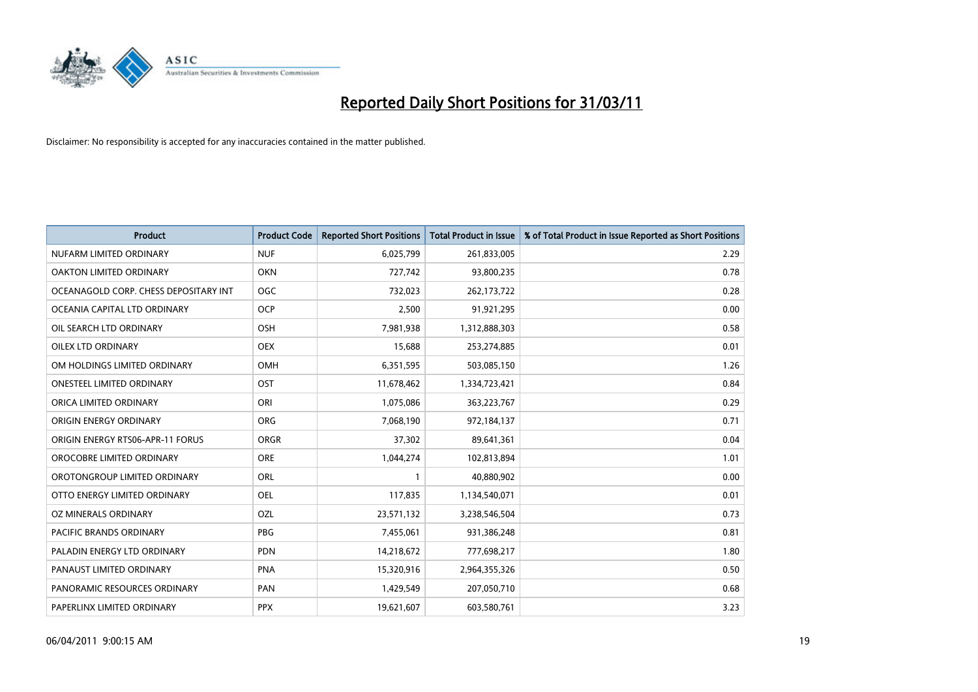

| <b>Product</b>                          | <b>Product Code</b> | <b>Reported Short Positions</b> | Total Product in Issue | % of Total Product in Issue Reported as Short Positions |
|-----------------------------------------|---------------------|---------------------------------|------------------------|---------------------------------------------------------|
| NUFARM LIMITED ORDINARY                 | <b>NUF</b>          | 6,025,799                       | 261,833,005            | 2.29                                                    |
| OAKTON LIMITED ORDINARY                 | <b>OKN</b>          | 727,742                         | 93,800,235             | 0.78                                                    |
| OCEANAGOLD CORP. CHESS DEPOSITARY INT   | OGC                 | 732,023                         | 262,173,722            | 0.28                                                    |
| OCEANIA CAPITAL LTD ORDINARY            | <b>OCP</b>          | 2,500                           | 91,921,295             | 0.00                                                    |
| OIL SEARCH LTD ORDINARY                 | <b>OSH</b>          | 7,981,938                       | 1,312,888,303          | 0.58                                                    |
| <b>OILEX LTD ORDINARY</b>               | <b>OEX</b>          | 15,688                          | 253,274,885            | 0.01                                                    |
| OM HOLDINGS LIMITED ORDINARY            | <b>OMH</b>          | 6,351,595                       | 503,085,150            | 1.26                                                    |
| ONESTEEL LIMITED ORDINARY               | OST                 | 11,678,462                      | 1,334,723,421          | 0.84                                                    |
| ORICA LIMITED ORDINARY                  | ORI                 | 1,075,086                       | 363,223,767            | 0.29                                                    |
| ORIGIN ENERGY ORDINARY                  | ORG                 | 7,068,190                       | 972,184,137            | 0.71                                                    |
| <b>ORIGIN ENERGY RTS06-APR-11 FORUS</b> | <b>ORGR</b>         | 37,302                          | 89,641,361             | 0.04                                                    |
| OROCOBRE LIMITED ORDINARY               | <b>ORE</b>          | 1,044,274                       | 102,813,894            | 1.01                                                    |
| OROTONGROUP LIMITED ORDINARY            | <b>ORL</b>          |                                 | 40,880,902             | 0.00                                                    |
| OTTO ENERGY LIMITED ORDINARY            | <b>OEL</b>          | 117,835                         | 1,134,540,071          | 0.01                                                    |
| OZ MINERALS ORDINARY                    | OZL                 | 23,571,132                      | 3,238,546,504          | 0.73                                                    |
| <b>PACIFIC BRANDS ORDINARY</b>          | <b>PBG</b>          | 7,455,061                       | 931,386,248            | 0.81                                                    |
| PALADIN ENERGY LTD ORDINARY             | PDN                 | 14,218,672                      | 777,698,217            | 1.80                                                    |
| PANAUST LIMITED ORDINARY                | <b>PNA</b>          | 15,320,916                      | 2,964,355,326          | 0.50                                                    |
| PANORAMIC RESOURCES ORDINARY            | PAN                 | 1,429,549                       | 207,050,710            | 0.68                                                    |
| PAPERLINX LIMITED ORDINARY              | <b>PPX</b>          | 19,621,607                      | 603,580,761            | 3.23                                                    |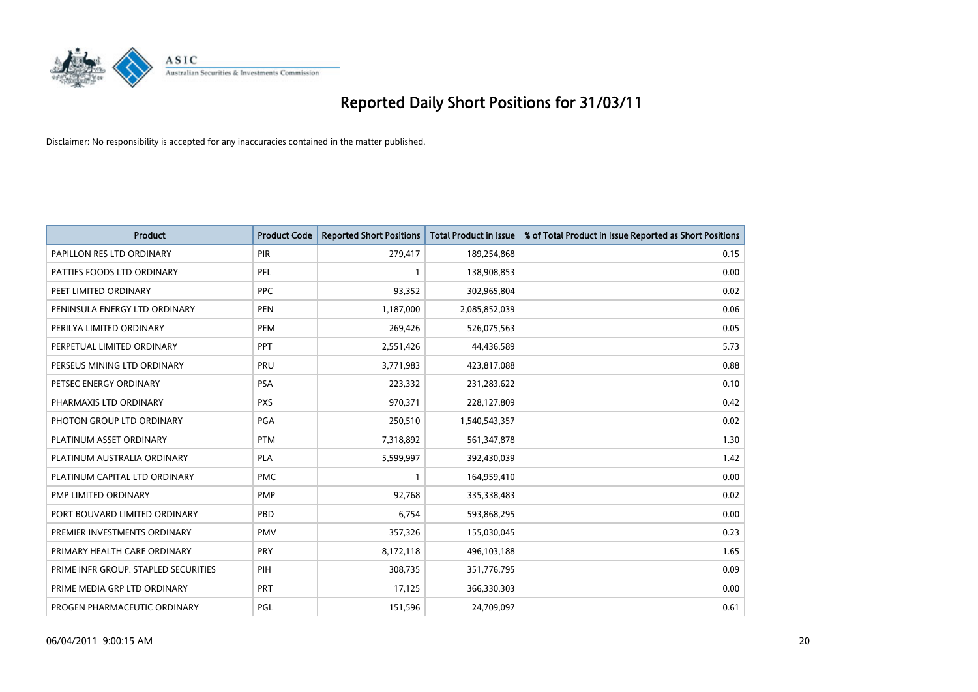

| <b>Product</b>                       | <b>Product Code</b> | <b>Reported Short Positions</b> | Total Product in Issue | % of Total Product in Issue Reported as Short Positions |
|--------------------------------------|---------------------|---------------------------------|------------------------|---------------------------------------------------------|
| PAPILLON RES LTD ORDINARY            | PIR                 | 279,417                         | 189,254,868            | 0.15                                                    |
| PATTIES FOODS LTD ORDINARY           | PFL                 |                                 | 138,908,853            | 0.00                                                    |
| PEET LIMITED ORDINARY                | <b>PPC</b>          | 93,352                          | 302,965,804            | 0.02                                                    |
| PENINSULA ENERGY LTD ORDINARY        | <b>PEN</b>          | 1,187,000                       | 2,085,852,039          | 0.06                                                    |
| PERILYA LIMITED ORDINARY             | PEM                 | 269,426                         | 526,075,563            | 0.05                                                    |
| PERPETUAL LIMITED ORDINARY           | PPT                 | 2,551,426                       | 44,436,589             | 5.73                                                    |
| PERSEUS MINING LTD ORDINARY          | PRU                 | 3,771,983                       | 423,817,088            | 0.88                                                    |
| PETSEC ENERGY ORDINARY               | <b>PSA</b>          | 223,332                         | 231,283,622            | 0.10                                                    |
| PHARMAXIS LTD ORDINARY               | <b>PXS</b>          | 970,371                         | 228,127,809            | 0.42                                                    |
| PHOTON GROUP LTD ORDINARY            | <b>PGA</b>          | 250,510                         | 1,540,543,357          | 0.02                                                    |
| PLATINUM ASSET ORDINARY              | <b>PTM</b>          | 7,318,892                       | 561,347,878            | 1.30                                                    |
| PLATINUM AUSTRALIA ORDINARY          | <b>PLA</b>          | 5,599,997                       | 392,430,039            | 1.42                                                    |
| PLATINUM CAPITAL LTD ORDINARY        | <b>PMC</b>          |                                 | 164,959,410            | 0.00                                                    |
| PMP LIMITED ORDINARY                 | <b>PMP</b>          | 92,768                          | 335,338,483            | 0.02                                                    |
| PORT BOUVARD LIMITED ORDINARY        | PBD                 | 6,754                           | 593,868,295            | 0.00                                                    |
| PREMIER INVESTMENTS ORDINARY         | <b>PMV</b>          | 357,326                         | 155,030,045            | 0.23                                                    |
| PRIMARY HEALTH CARE ORDINARY         | <b>PRY</b>          | 8,172,118                       | 496,103,188            | 1.65                                                    |
| PRIME INFR GROUP. STAPLED SECURITIES | PIH                 | 308,735                         | 351,776,795            | 0.09                                                    |
| PRIME MEDIA GRP LTD ORDINARY         | <b>PRT</b>          | 17,125                          | 366,330,303            | 0.00                                                    |
| PROGEN PHARMACEUTIC ORDINARY         | PGL                 | 151,596                         | 24,709,097             | 0.61                                                    |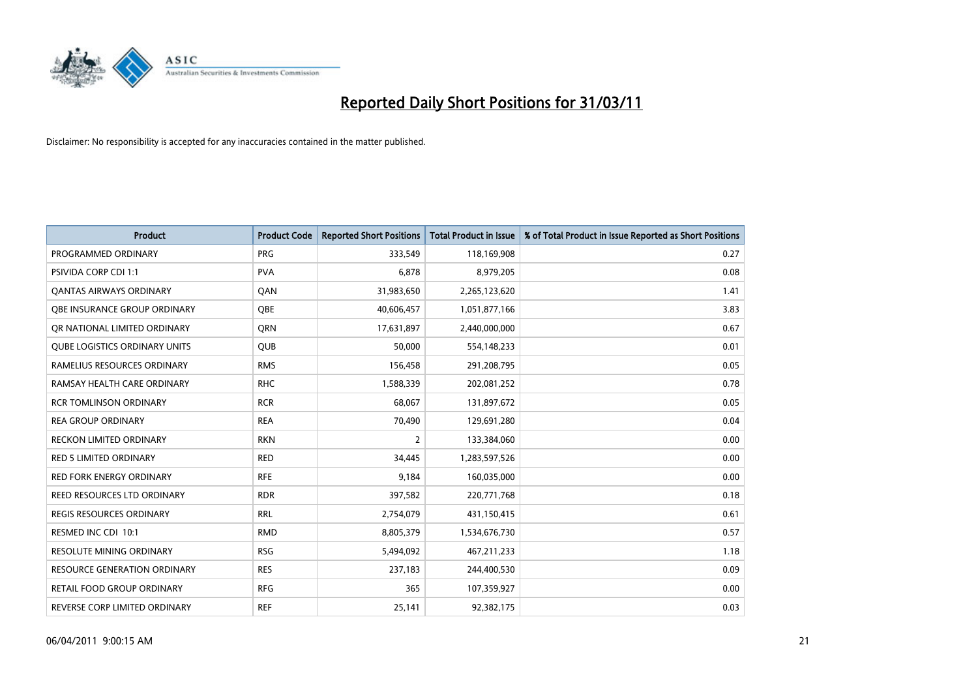

| <b>Product</b>                       | <b>Product Code</b> | <b>Reported Short Positions</b> | <b>Total Product in Issue</b> | % of Total Product in Issue Reported as Short Positions |
|--------------------------------------|---------------------|---------------------------------|-------------------------------|---------------------------------------------------------|
| PROGRAMMED ORDINARY                  | <b>PRG</b>          | 333,549                         | 118,169,908                   | 0.27                                                    |
| PSIVIDA CORP CDI 1:1                 | <b>PVA</b>          | 6,878                           | 8,979,205                     | 0.08                                                    |
| <b>QANTAS AIRWAYS ORDINARY</b>       | QAN                 | 31,983,650                      | 2,265,123,620                 | 1.41                                                    |
| OBE INSURANCE GROUP ORDINARY         | <b>OBE</b>          | 40,606,457                      | 1,051,877,166                 | 3.83                                                    |
| OR NATIONAL LIMITED ORDINARY         | <b>ORN</b>          | 17,631,897                      | 2,440,000,000                 | 0.67                                                    |
| <b>QUBE LOGISTICS ORDINARY UNITS</b> | <b>QUB</b>          | 50,000                          | 554,148,233                   | 0.01                                                    |
| RAMELIUS RESOURCES ORDINARY          | <b>RMS</b>          | 156,458                         | 291,208,795                   | 0.05                                                    |
| RAMSAY HEALTH CARE ORDINARY          | <b>RHC</b>          | 1,588,339                       | 202,081,252                   | 0.78                                                    |
| <b>RCR TOMLINSON ORDINARY</b>        | <b>RCR</b>          | 68,067                          | 131,897,672                   | 0.05                                                    |
| <b>REA GROUP ORDINARY</b>            | <b>REA</b>          | 70,490                          | 129,691,280                   | 0.04                                                    |
| <b>RECKON LIMITED ORDINARY</b>       | <b>RKN</b>          | 2                               | 133,384,060                   | 0.00                                                    |
| <b>RED 5 LIMITED ORDINARY</b>        | <b>RED</b>          | 34,445                          | 1,283,597,526                 | 0.00                                                    |
| <b>RED FORK ENERGY ORDINARY</b>      | <b>RFE</b>          | 9,184                           | 160,035,000                   | 0.00                                                    |
| REED RESOURCES LTD ORDINARY          | <b>RDR</b>          | 397,582                         | 220,771,768                   | 0.18                                                    |
| <b>REGIS RESOURCES ORDINARY</b>      | <b>RRL</b>          | 2,754,079                       | 431,150,415                   | 0.61                                                    |
| RESMED INC CDI 10:1                  | <b>RMD</b>          | 8,805,379                       | 1,534,676,730                 | 0.57                                                    |
| <b>RESOLUTE MINING ORDINARY</b>      | <b>RSG</b>          | 5,494,092                       | 467,211,233                   | 1.18                                                    |
| RESOURCE GENERATION ORDINARY         | <b>RES</b>          | 237,183                         | 244,400,530                   | 0.09                                                    |
| <b>RETAIL FOOD GROUP ORDINARY</b>    | <b>RFG</b>          | 365                             | 107,359,927                   | 0.00                                                    |
| REVERSE CORP LIMITED ORDINARY        | <b>REF</b>          | 25,141                          | 92,382,175                    | 0.03                                                    |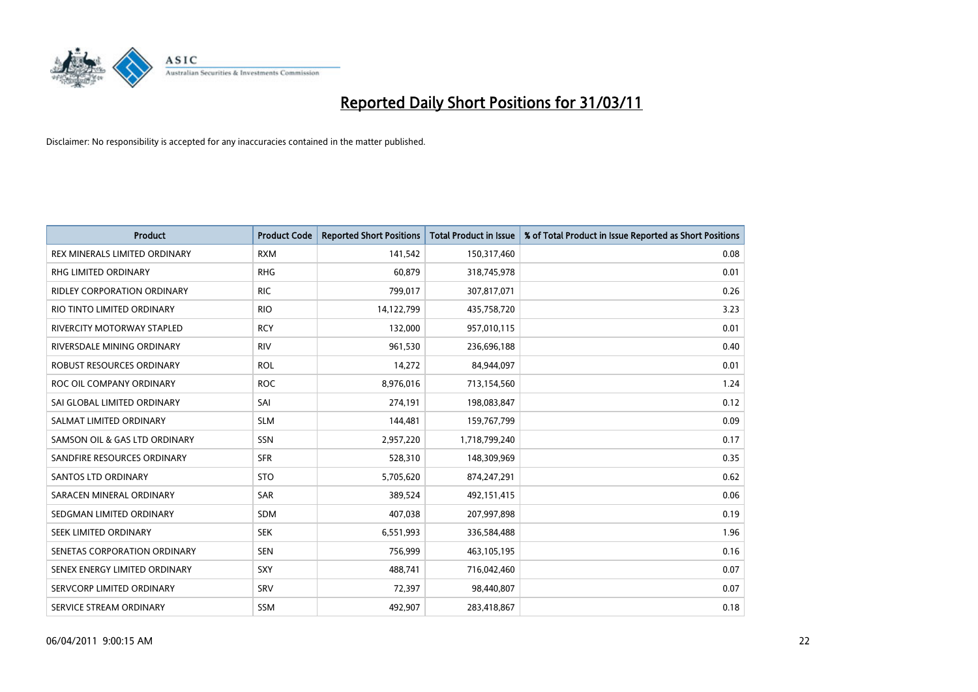

| <b>Product</b>                     | <b>Product Code</b> | <b>Reported Short Positions</b> | <b>Total Product in Issue</b> | % of Total Product in Issue Reported as Short Positions |
|------------------------------------|---------------------|---------------------------------|-------------------------------|---------------------------------------------------------|
| REX MINERALS LIMITED ORDINARY      | <b>RXM</b>          | 141,542                         | 150,317,460                   | 0.08                                                    |
| RHG LIMITED ORDINARY               | <b>RHG</b>          | 60,879                          | 318,745,978                   | 0.01                                                    |
| <b>RIDLEY CORPORATION ORDINARY</b> | <b>RIC</b>          | 799,017                         | 307,817,071                   | 0.26                                                    |
| RIO TINTO LIMITED ORDINARY         | <b>RIO</b>          | 14,122,799                      | 435,758,720                   | 3.23                                                    |
| <b>RIVERCITY MOTORWAY STAPLED</b>  | <b>RCY</b>          | 132,000                         | 957,010,115                   | 0.01                                                    |
| RIVERSDALE MINING ORDINARY         | <b>RIV</b>          | 961,530                         | 236,696,188                   | 0.40                                                    |
| ROBUST RESOURCES ORDINARY          | <b>ROL</b>          | 14,272                          | 84,944,097                    | 0.01                                                    |
| ROC OIL COMPANY ORDINARY           | <b>ROC</b>          | 8,976,016                       | 713,154,560                   | 1.24                                                    |
| SAI GLOBAL LIMITED ORDINARY        | SAI                 | 274,191                         | 198,083,847                   | 0.12                                                    |
| SALMAT LIMITED ORDINARY            | <b>SLM</b>          | 144,481                         | 159,767,799                   | 0.09                                                    |
| SAMSON OIL & GAS LTD ORDINARY      | SSN                 | 2,957,220                       | 1,718,799,240                 | 0.17                                                    |
| SANDFIRE RESOURCES ORDINARY        | <b>SFR</b>          | 528,310                         | 148,309,969                   | 0.35                                                    |
| <b>SANTOS LTD ORDINARY</b>         | <b>STO</b>          | 5,705,620                       | 874,247,291                   | 0.62                                                    |
| SARACEN MINERAL ORDINARY           | <b>SAR</b>          | 389,524                         | 492,151,415                   | 0.06                                                    |
| SEDGMAN LIMITED ORDINARY           | <b>SDM</b>          | 407,038                         | 207,997,898                   | 0.19                                                    |
| SEEK LIMITED ORDINARY              | <b>SEK</b>          | 6,551,993                       | 336,584,488                   | 1.96                                                    |
| SENETAS CORPORATION ORDINARY       | <b>SEN</b>          | 756,999                         | 463,105,195                   | 0.16                                                    |
| SENEX ENERGY LIMITED ORDINARY      | SXY                 | 488,741                         | 716,042,460                   | 0.07                                                    |
| SERVCORP LIMITED ORDINARY          | SRV                 | 72,397                          | 98,440,807                    | 0.07                                                    |
| SERVICE STREAM ORDINARY            | <b>SSM</b>          | 492,907                         | 283,418,867                   | 0.18                                                    |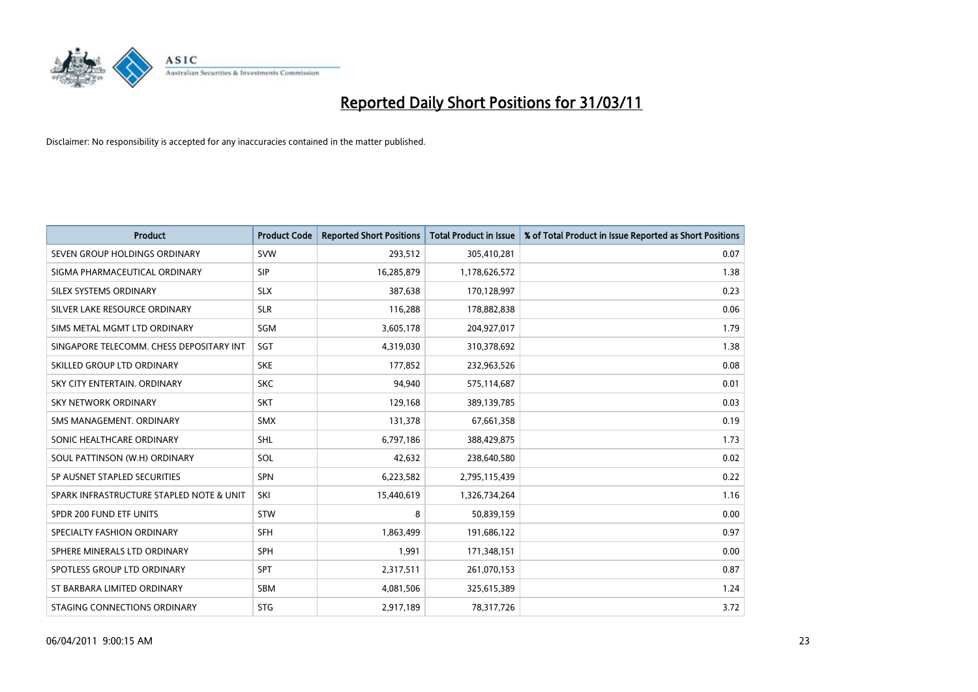

| <b>Product</b>                           | <b>Product Code</b> | <b>Reported Short Positions</b> | Total Product in Issue | % of Total Product in Issue Reported as Short Positions |
|------------------------------------------|---------------------|---------------------------------|------------------------|---------------------------------------------------------|
| SEVEN GROUP HOLDINGS ORDINARY            | SVW                 | 293,512                         | 305,410,281            | 0.07                                                    |
| SIGMA PHARMACEUTICAL ORDINARY            | SIP                 | 16,285,879                      | 1,178,626,572          | 1.38                                                    |
| SILEX SYSTEMS ORDINARY                   | <b>SLX</b>          | 387,638                         | 170,128,997            | 0.23                                                    |
| SILVER LAKE RESOURCE ORDINARY            | <b>SLR</b>          | 116,288                         | 178,882,838            | 0.06                                                    |
| SIMS METAL MGMT LTD ORDINARY             | SGM                 | 3,605,178                       | 204,927,017            | 1.79                                                    |
| SINGAPORE TELECOMM. CHESS DEPOSITARY INT | SGT                 | 4,319,030                       | 310,378,692            | 1.38                                                    |
| SKILLED GROUP LTD ORDINARY               | <b>SKE</b>          | 177,852                         | 232,963,526            | 0.08                                                    |
| SKY CITY ENTERTAIN, ORDINARY             | <b>SKC</b>          | 94,940                          | 575,114,687            | 0.01                                                    |
| SKY NETWORK ORDINARY                     | <b>SKT</b>          | 129,168                         | 389,139,785            | 0.03                                                    |
| SMS MANAGEMENT, ORDINARY                 | SMX                 | 131,378                         | 67,661,358             | 0.19                                                    |
| SONIC HEALTHCARE ORDINARY                | SHL                 | 6,797,186                       | 388,429,875            | 1.73                                                    |
| SOUL PATTINSON (W.H) ORDINARY            | SOL                 | 42,632                          | 238,640,580            | 0.02                                                    |
| SP AUSNET STAPLED SECURITIES             | <b>SPN</b>          | 6,223,582                       | 2,795,115,439          | 0.22                                                    |
| SPARK INFRASTRUCTURE STAPLED NOTE & UNIT | SKI                 | 15,440,619                      | 1,326,734,264          | 1.16                                                    |
| SPDR 200 FUND ETF UNITS                  | STW                 | 8                               | 50,839,159             | 0.00                                                    |
| SPECIALTY FASHION ORDINARY               | SFH                 | 1,863,499                       | 191,686,122            | 0.97                                                    |
| SPHERE MINERALS LTD ORDINARY             | <b>SPH</b>          | 1,991                           | 171,348,151            | 0.00                                                    |
| SPOTLESS GROUP LTD ORDINARY              | <b>SPT</b>          | 2,317,511                       | 261,070,153            | 0.87                                                    |
| ST BARBARA LIMITED ORDINARY              | <b>SBM</b>          | 4,081,506                       | 325,615,389            | 1.24                                                    |
| STAGING CONNECTIONS ORDINARY             | <b>STG</b>          | 2,917,189                       | 78,317,726             | 3.72                                                    |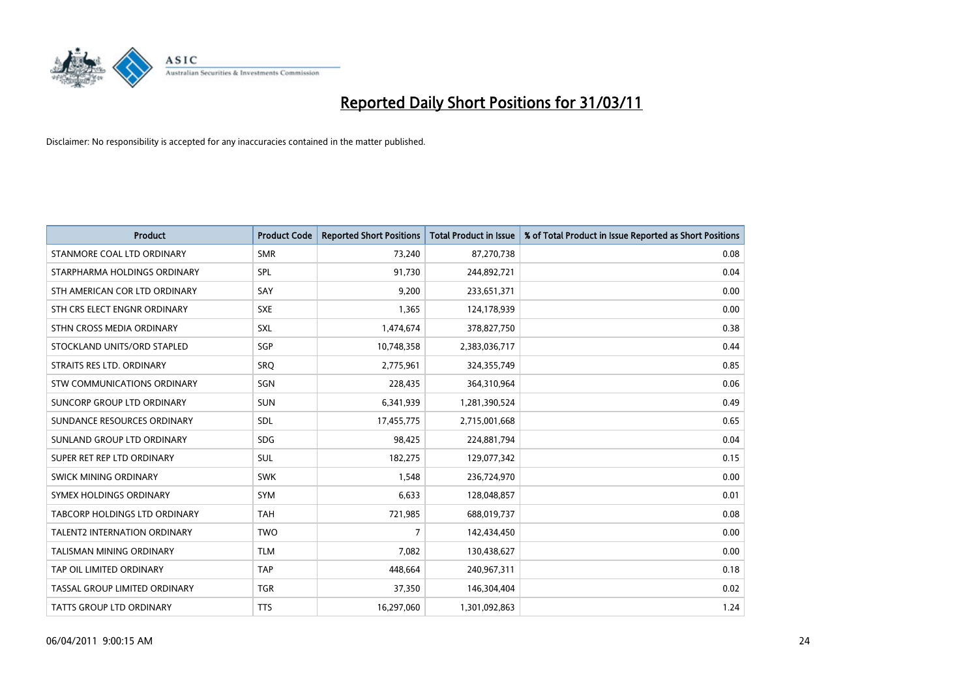

| <b>Product</b>                      | <b>Product Code</b> | <b>Reported Short Positions</b> | <b>Total Product in Issue</b> | % of Total Product in Issue Reported as Short Positions |
|-------------------------------------|---------------------|---------------------------------|-------------------------------|---------------------------------------------------------|
| STANMORE COAL LTD ORDINARY          | <b>SMR</b>          | 73.240                          | 87,270,738                    | 0.08                                                    |
| STARPHARMA HOLDINGS ORDINARY        | <b>SPL</b>          | 91,730                          | 244,892,721                   | 0.04                                                    |
| STH AMERICAN COR LTD ORDINARY       | SAY                 | 9,200                           | 233,651,371                   | 0.00                                                    |
| STH CRS ELECT ENGNR ORDINARY        | <b>SXE</b>          | 1,365                           | 124,178,939                   | 0.00                                                    |
| STHN CROSS MEDIA ORDINARY           | <b>SXL</b>          | 1,474,674                       | 378,827,750                   | 0.38                                                    |
| STOCKLAND UNITS/ORD STAPLED         | SGP                 | 10,748,358                      | 2,383,036,717                 | 0.44                                                    |
| STRAITS RES LTD. ORDINARY           | <b>SRO</b>          | 2,775,961                       | 324,355,749                   | 0.85                                                    |
| <b>STW COMMUNICATIONS ORDINARY</b>  | SGN                 | 228.435                         | 364,310,964                   | 0.06                                                    |
| SUNCORP GROUP LTD ORDINARY          | <b>SUN</b>          | 6,341,939                       | 1,281,390,524                 | 0.49                                                    |
| SUNDANCE RESOURCES ORDINARY         | <b>SDL</b>          | 17,455,775                      | 2,715,001,668                 | 0.65                                                    |
| SUNLAND GROUP LTD ORDINARY          | <b>SDG</b>          | 98,425                          | 224,881,794                   | 0.04                                                    |
| SUPER RET REP LTD ORDINARY          | <b>SUL</b>          | 182,275                         | 129,077,342                   | 0.15                                                    |
| SWICK MINING ORDINARY               | <b>SWK</b>          | 1.548                           | 236,724,970                   | 0.00                                                    |
| SYMEX HOLDINGS ORDINARY             | <b>SYM</b>          | 6,633                           | 128,048,857                   | 0.01                                                    |
| TABCORP HOLDINGS LTD ORDINARY       | <b>TAH</b>          | 721,985                         | 688,019,737                   | 0.08                                                    |
| <b>TALENT2 INTERNATION ORDINARY</b> | <b>TWO</b>          | 7                               | 142,434,450                   | 0.00                                                    |
| TALISMAN MINING ORDINARY            | <b>TLM</b>          | 7,082                           | 130,438,627                   | 0.00                                                    |
| TAP OIL LIMITED ORDINARY            | <b>TAP</b>          | 448.664                         | 240,967,311                   | 0.18                                                    |
| TASSAL GROUP LIMITED ORDINARY       | <b>TGR</b>          | 37,350                          | 146,304,404                   | 0.02                                                    |
| TATTS GROUP LTD ORDINARY            | <b>TTS</b>          | 16,297,060                      | 1,301,092,863                 | 1.24                                                    |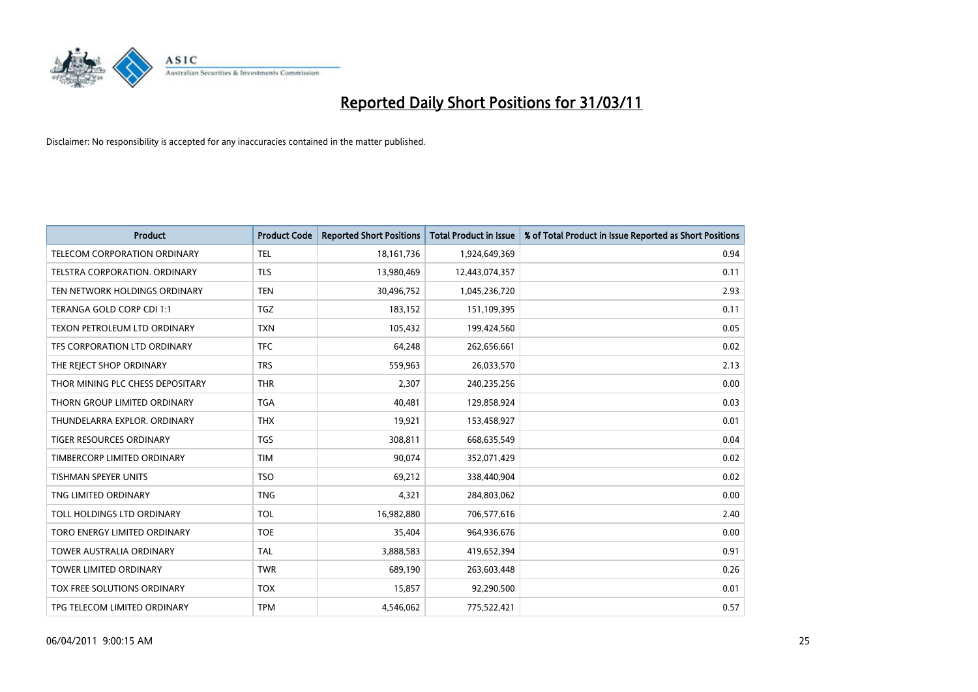

| <b>Product</b>                   | <b>Product Code</b> | <b>Reported Short Positions</b> | <b>Total Product in Issue</b> | % of Total Product in Issue Reported as Short Positions |
|----------------------------------|---------------------|---------------------------------|-------------------------------|---------------------------------------------------------|
| TELECOM CORPORATION ORDINARY     | <b>TEL</b>          | 18, 161, 736                    | 1,924,649,369                 | 0.94                                                    |
| TELSTRA CORPORATION. ORDINARY    | <b>TLS</b>          | 13,980,469                      | 12,443,074,357                | 0.11                                                    |
| TEN NETWORK HOLDINGS ORDINARY    | <b>TEN</b>          | 30,496,752                      | 1,045,236,720                 | 2.93                                                    |
| TERANGA GOLD CORP CDI 1:1        | TGZ                 | 183,152                         | 151,109,395                   | 0.11                                                    |
| TEXON PETROLEUM LTD ORDINARY     | <b>TXN</b>          | 105,432                         | 199,424,560                   | 0.05                                                    |
| TFS CORPORATION LTD ORDINARY     | <b>TFC</b>          | 64,248                          | 262,656,661                   | 0.02                                                    |
| THE REJECT SHOP ORDINARY         | <b>TRS</b>          | 559,963                         | 26,033,570                    | 2.13                                                    |
| THOR MINING PLC CHESS DEPOSITARY | <b>THR</b>          | 2,307                           | 240,235,256                   | 0.00                                                    |
| THORN GROUP LIMITED ORDINARY     | <b>TGA</b>          | 40,481                          | 129,858,924                   | 0.03                                                    |
| THUNDELARRA EXPLOR, ORDINARY     | <b>THX</b>          | 19,921                          | 153,458,927                   | 0.01                                                    |
| TIGER RESOURCES ORDINARY         | <b>TGS</b>          | 308,811                         | 668,635,549                   | 0.04                                                    |
| TIMBERCORP LIMITED ORDINARY      | <b>TIM</b>          | 90,074                          | 352,071,429                   | 0.02                                                    |
| <b>TISHMAN SPEYER UNITS</b>      | <b>TSO</b>          | 69,212                          | 338,440,904                   | 0.02                                                    |
| TNG LIMITED ORDINARY             | <b>TNG</b>          | 4,321                           | 284,803,062                   | 0.00                                                    |
| TOLL HOLDINGS LTD ORDINARY       | <b>TOL</b>          | 16,982,880                      | 706,577,616                   | 2.40                                                    |
| TORO ENERGY LIMITED ORDINARY     | <b>TOE</b>          | 35,404                          | 964,936,676                   | 0.00                                                    |
| <b>TOWER AUSTRALIA ORDINARY</b>  | <b>TAL</b>          | 3,888,583                       | 419,652,394                   | 0.91                                                    |
| TOWER LIMITED ORDINARY           | <b>TWR</b>          | 689,190                         | 263,603,448                   | 0.26                                                    |
| TOX FREE SOLUTIONS ORDINARY      | <b>TOX</b>          | 15,857                          | 92,290,500                    | 0.01                                                    |
| TPG TELECOM LIMITED ORDINARY     | <b>TPM</b>          | 4,546,062                       | 775,522,421                   | 0.57                                                    |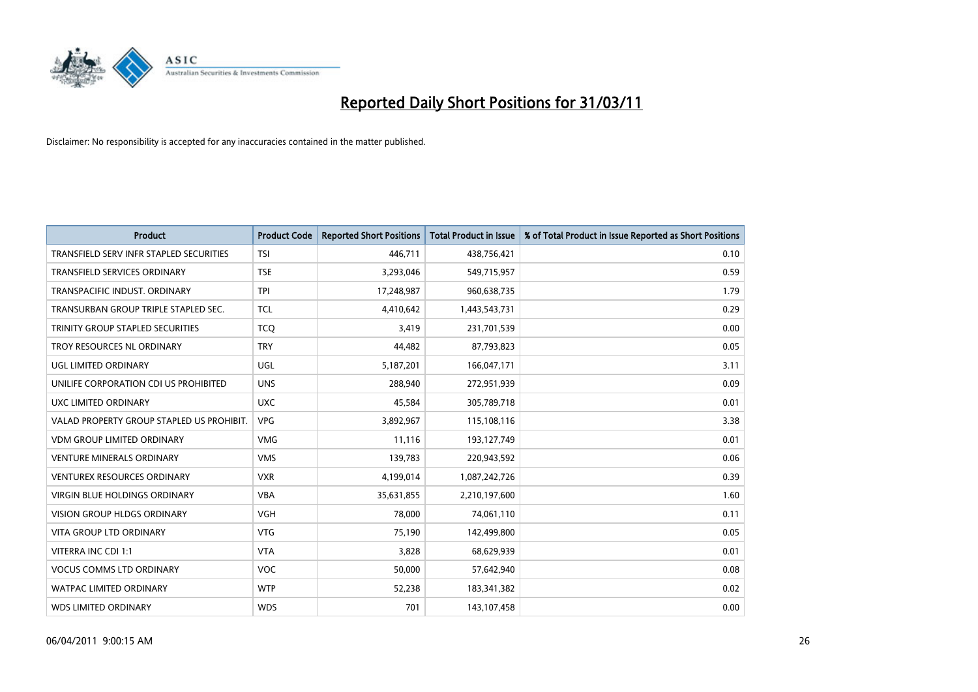

| <b>Product</b>                            | <b>Product Code</b> | <b>Reported Short Positions</b> | <b>Total Product in Issue</b> | % of Total Product in Issue Reported as Short Positions |
|-------------------------------------------|---------------------|---------------------------------|-------------------------------|---------------------------------------------------------|
| TRANSFIELD SERV INFR STAPLED SECURITIES   | <b>TSI</b>          | 446.711                         | 438,756,421                   | 0.10                                                    |
| <b>TRANSFIELD SERVICES ORDINARY</b>       | <b>TSE</b>          | 3,293,046                       | 549,715,957                   | 0.59                                                    |
| TRANSPACIFIC INDUST, ORDINARY             | <b>TPI</b>          | 17,248,987                      | 960,638,735                   | 1.79                                                    |
| TRANSURBAN GROUP TRIPLE STAPLED SEC.      | <b>TCL</b>          | 4,410,642                       | 1,443,543,731                 | 0.29                                                    |
| TRINITY GROUP STAPLED SECURITIES          | <b>TCO</b>          | 3,419                           | 231,701,539                   | 0.00                                                    |
| TROY RESOURCES NL ORDINARY                | <b>TRY</b>          | 44,482                          | 87,793,823                    | 0.05                                                    |
| <b>UGL LIMITED ORDINARY</b>               | UGL                 | 5,187,201                       | 166,047,171                   | 3.11                                                    |
| UNILIFE CORPORATION CDI US PROHIBITED     | <b>UNS</b>          | 288.940                         | 272,951,939                   | 0.09                                                    |
| UXC LIMITED ORDINARY                      | <b>UXC</b>          | 45,584                          | 305,789,718                   | 0.01                                                    |
| VALAD PROPERTY GROUP STAPLED US PROHIBIT. | <b>VPG</b>          | 3,892,967                       | 115,108,116                   | 3.38                                                    |
| <b>VDM GROUP LIMITED ORDINARY</b>         | <b>VMG</b>          | 11,116                          | 193,127,749                   | 0.01                                                    |
| <b>VENTURE MINERALS ORDINARY</b>          | <b>VMS</b>          | 139,783                         | 220,943,592                   | 0.06                                                    |
| VENTUREX RESOURCES ORDINARY               | <b>VXR</b>          | 4,199,014                       | 1,087,242,726                 | 0.39                                                    |
| <b>VIRGIN BLUE HOLDINGS ORDINARY</b>      | <b>VBA</b>          | 35,631,855                      | 2,210,197,600                 | 1.60                                                    |
| <b>VISION GROUP HLDGS ORDINARY</b>        | <b>VGH</b>          | 78.000                          | 74,061,110                    | 0.11                                                    |
| <b>VITA GROUP LTD ORDINARY</b>            | <b>VTG</b>          | 75,190                          | 142,499,800                   | 0.05                                                    |
| VITERRA INC CDI 1:1                       | <b>VTA</b>          | 3,828                           | 68,629,939                    | 0.01                                                    |
| <b>VOCUS COMMS LTD ORDINARY</b>           | <b>VOC</b>          | 50,000                          | 57,642,940                    | 0.08                                                    |
| <b>WATPAC LIMITED ORDINARY</b>            | <b>WTP</b>          | 52,238                          | 183,341,382                   | 0.02                                                    |
| <b>WDS LIMITED ORDINARY</b>               | <b>WDS</b>          | 701                             | 143,107,458                   | 0.00                                                    |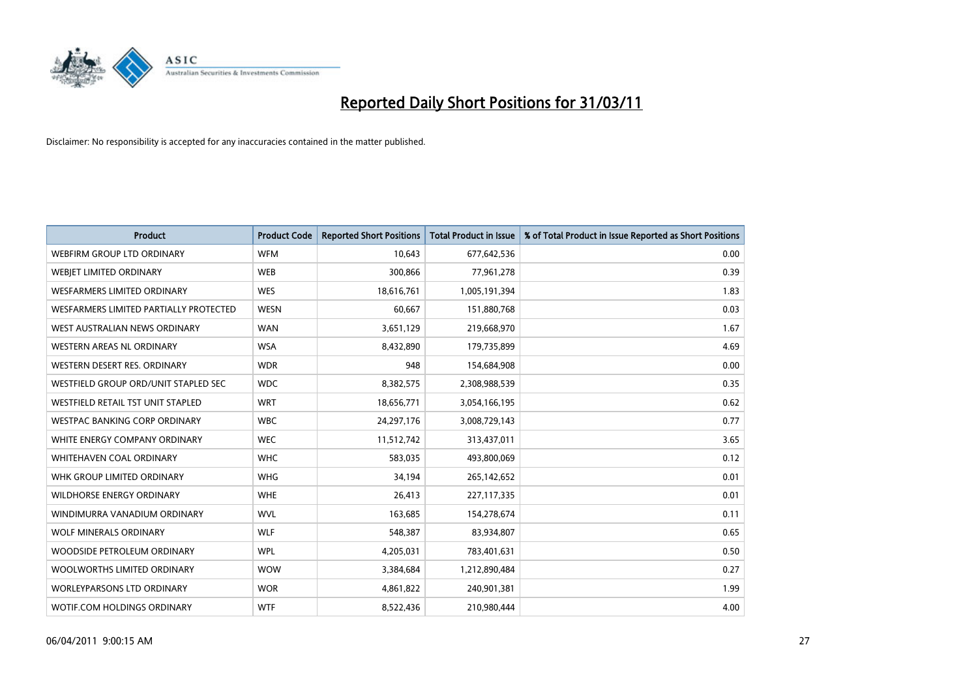

| <b>Product</b>                         | <b>Product Code</b> | <b>Reported Short Positions</b> | <b>Total Product in Issue</b> | % of Total Product in Issue Reported as Short Positions |
|----------------------------------------|---------------------|---------------------------------|-------------------------------|---------------------------------------------------------|
| WEBFIRM GROUP LTD ORDINARY             | <b>WFM</b>          | 10,643                          | 677,642,536                   | 0.00                                                    |
| WEBJET LIMITED ORDINARY                | <b>WEB</b>          | 300,866                         | 77,961,278                    | 0.39                                                    |
| WESFARMERS LIMITED ORDINARY            | <b>WES</b>          | 18,616,761                      | 1,005,191,394                 | 1.83                                                    |
| WESFARMERS LIMITED PARTIALLY PROTECTED | <b>WESN</b>         | 60,667                          | 151,880,768                   | 0.03                                                    |
| WEST AUSTRALIAN NEWS ORDINARY          | <b>WAN</b>          | 3,651,129                       | 219,668,970                   | 1.67                                                    |
| <b>WESTERN AREAS NL ORDINARY</b>       | <b>WSA</b>          | 8,432,890                       | 179,735,899                   | 4.69                                                    |
| WESTERN DESERT RES. ORDINARY           | <b>WDR</b>          | 948                             | 154,684,908                   | 0.00                                                    |
| WESTFIELD GROUP ORD/UNIT STAPLED SEC   | <b>WDC</b>          | 8,382,575                       | 2,308,988,539                 | 0.35                                                    |
| WESTFIELD RETAIL TST UNIT STAPLED      | <b>WRT</b>          | 18,656,771                      | 3,054,166,195                 | 0.62                                                    |
| WESTPAC BANKING CORP ORDINARY          | <b>WBC</b>          | 24,297,176                      | 3,008,729,143                 | 0.77                                                    |
| WHITE ENERGY COMPANY ORDINARY          | <b>WEC</b>          | 11,512,742                      | 313,437,011                   | 3.65                                                    |
| <b>WHITEHAVEN COAL ORDINARY</b>        | <b>WHC</b>          | 583,035                         | 493,800,069                   | 0.12                                                    |
| WHK GROUP LIMITED ORDINARY             | <b>WHG</b>          | 34,194                          | 265,142,652                   | 0.01                                                    |
| <b>WILDHORSE ENERGY ORDINARY</b>       | <b>WHE</b>          | 26,413                          | 227,117,335                   | 0.01                                                    |
| WINDIMURRA VANADIUM ORDINARY           | <b>WVL</b>          | 163,685                         | 154,278,674                   | 0.11                                                    |
| <b>WOLF MINERALS ORDINARY</b>          | <b>WLF</b>          | 548,387                         | 83,934,807                    | 0.65                                                    |
| WOODSIDE PETROLEUM ORDINARY            | <b>WPL</b>          | 4,205,031                       | 783,401,631                   | 0.50                                                    |
| WOOLWORTHS LIMITED ORDINARY            | <b>WOW</b>          | 3,384,684                       | 1,212,890,484                 | 0.27                                                    |
| <b>WORLEYPARSONS LTD ORDINARY</b>      | <b>WOR</b>          | 4,861,822                       | 240,901,381                   | 1.99                                                    |
| WOTIF.COM HOLDINGS ORDINARY            | <b>WTF</b>          | 8,522,436                       | 210,980,444                   | 4.00                                                    |